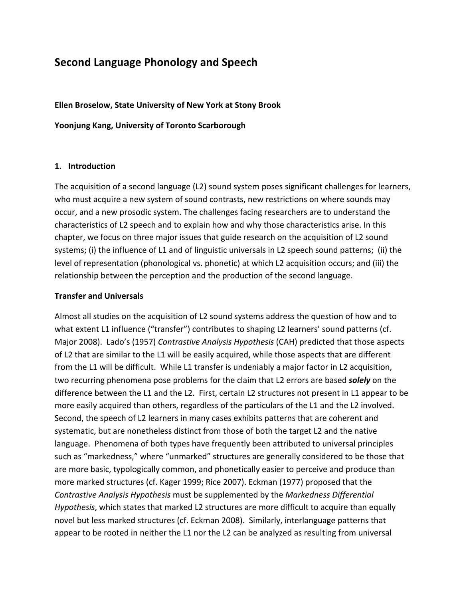# **Second'Language'Phonology'and'Speech**

**Ellen'Broselow,'State'University'of'New'York at'Stony'Brook**

Yoonjung Kang, University of Toronto Scarborough

#### **1. Introduction**

The acquisition of a second language (L2) sound system poses significant challenges for learners, who must acquire a new system of sound contrasts, new restrictions on where sounds may occur, and a new prosodic system. The challenges facing researchers are to understand the characteristics of L2 speech and to explain how and why those characteristics arise. In this chapter, we focus on three major issues that guide research on the acquisition of L2 sound systems; (i) the influence of L1 and of linguistic universals in L2 speech sound patterns; (ii) the level of representation (phonological vs. phonetic) at which L2 acquisition occurs; and (iii) the relationship between the perception and the production of the second language.

## **Transfer'and Universals'**

Almost all studies on the acquisition of L2 sound systems address the question of how and to what extent L1 influence ("transfer") contributes to shaping L2 learners' sound patterns (cf. Major 2008). Lado's (1957) Contrastive Analysis Hypothesis (CAH) predicted that those aspects of L2 that are similar to the L1 will be easily acquired, while those aspects that are different from the L1 will be difficult. While L1 transfer is undeniably a major factor in L2 acquisition, two recurring phenomena pose problems for the claim that L2 errors are based **solely** on the difference between the L1 and the L2. First, certain L2 structures not present in L1 appear to be more easily acquired than others, regardless of the particulars of the L1 and the L2 involved. Second, the speech of L2 learners in many cases exhibits patterns that are coherent and systematic, but are nonetheless distinct from those of both the target L2 and the native language. Phenomena of both types have frequently been attributed to universal principles such as "markedness," where "unmarked" structures are generally considered to be those that are more basic, typologically common, and phonetically easier to perceive and produce than more marked structures (cf. Kager 1999; Rice 2007). Eckman (1977) proposed that the *Contrastive Analysis Hypothesis* must be supplemented by the *Markedness Differential Hypothesis*, which states that marked L2 structures are more difficult to acquire than equally novel but less marked structures (cf. Eckman 2008). Similarly, interlanguage patterns that appear to be rooted in neither the L1 nor the L2 can be analyzed as resulting from universal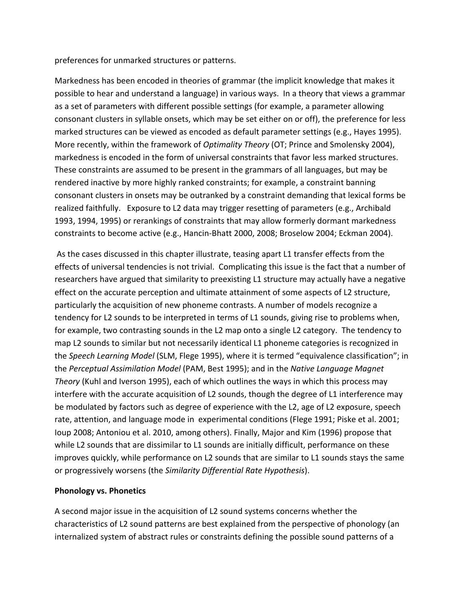preferences for unmarked structures or patterns.

Markedness has been encoded in theories of grammar (the implicit knowledge that makes it possible to hear and understand a language) in various ways. In a theory that views a grammar as a set of parameters with different possible settings (for example, a parameter allowing consonant clusters in syllable onsets, which may be set either on or off), the preference for less marked structures can be viewed as encoded as default parameter settings (e.g., Hayes 1995). More recently, within the framework of Optimality Theory (OT; Prince and Smolensky 2004), markedness is encoded in the form of universal constraints that favor less marked structures. These constraints are assumed to be present in the grammars of all languages, but may be rendered inactive by more highly ranked constraints; for example, a constraint banning consonant clusters in onsets may be outranked by a constraint demanding that lexical forms be realized faithfully. Exposure to L2 data may trigger resetting of parameters (e.g., Archibald 1993, 1994, 1995) or rerankings of constraints that may allow formerly dormant markedness constraints to become active (e.g., Hancin-Bhatt 2000, 2008; Broselow 2004; Eckman 2004).

As the cases discussed in this chapter illustrate, teasing apart L1 transfer effects from the effects of universal tendencies is not trivial. Complicating this issue is the fact that a number of researchers have argued that similarity to preexisting L1 structure may actually have a negative effect on the accurate perception and ultimate attainment of some aspects of L2 structure, particularly the acquisition of new phoneme contrasts. A number of models recognize a tendency for L2 sounds to be interpreted in terms of L1 sounds, giving rise to problems when, for example, two contrasting sounds in the L2 map onto a single L2 category. The tendency to map L2 sounds to similar but not necessarily identical L1 phoneme categories is recognized in the Speech Learning Model (SLM, Flege 1995), where it is termed "equivalence classification"; in the Perceptual Assimilation Model (PAM, Best 1995); and in the Native Language Magnet Theory (Kuhl and Iverson 1995), each of which outlines the ways in which this process may interfere with the accurate acquisition of L2 sounds, though the degree of L1 interference may be modulated by factors such as degree of experience with the L2, age of L2 exposure, speech rate, attention, and language mode in experimental conditions (Flege 1991; Piske et al. 2001; loup 2008; Antoniou et al. 2010, among others). Finally, Major and Kim (1996) propose that while L2 sounds that are dissimilar to L1 sounds are initially difficult, performance on these improves quickly, while performance on L2 sounds that are similar to L1 sounds stays the same or progressively worsens (the Similarity Differential Rate Hypothesis).

## **Phonology vs. Phonetics**

A second major issue in the acquisition of L2 sound systems concerns whether the characteristics of L2 sound patterns are best explained from the perspective of phonology (an internalized system of abstract rules or constraints defining the possible sound patterns of a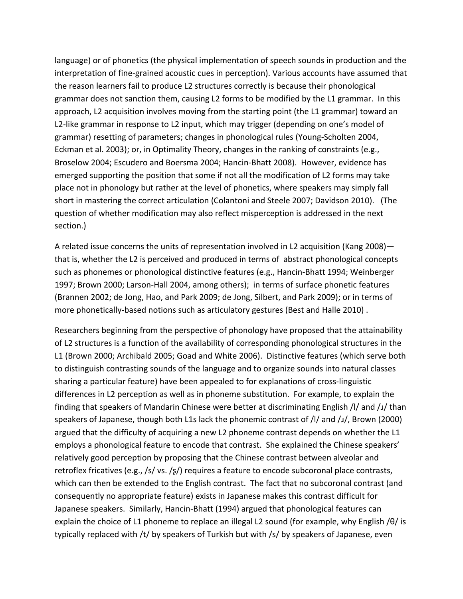language) or of phonetics (the physical implementation of speech sounds in production and the interpretation of fine-grained acoustic cues in perception). Various accounts have assumed that the reason learners fail to produce L2 structures correctly is because their phonological grammar does not sanction them, causing L2 forms to be modified by the L1 grammar. In this approach, L2 acquisition involves moving from the starting point (the L1 grammar) toward an L2-like grammar in response to L2 input, which may trigger (depending on one's model of grammar) resetting of parameters; changes in phonological rules (Young-Scholten 2004, Eckman et al. 2003); or, in Optimality Theory, changes in the ranking of constraints (e.g., Broselow 2004; Escudero and Boersma 2004; Hancin-Bhatt 2008). However, evidence has emerged supporting the position that some if not all the modification of L2 forms may take place not in phonology but rather at the level of phonetics, where speakers may simply fall short in mastering the correct articulation (Colantoni and Steele 2007; Davidson 2010). (The question of whether modification may also reflect misperception is addressed in the next section.)

A related issue concerns the units of representation involved in L2 acquisition (Kang 2008) that is, whether the L2 is perceived and produced in terms of abstract phonological concepts such as phonemes or phonological distinctive features (e.g., Hancin-Bhatt 1994; Weinberger 1997; Brown 2000; Larson-Hall 2004, among others); in terms of surface phonetic features (Brannen 2002; de Jong, Hao, and Park 2009; de Jong, Silbert, and Park 2009); or in terms of more phonetically-based notions such as articulatory gestures (Best and Halle 2010).

Researchers beginning from the perspective of phonology have proposed that the attainability of L2 structures is a function of the availability of corresponding phonological structures in the L1 (Brown 2000; Archibald 2005; Goad and White 2006). Distinctive features (which serve both to distinguish contrasting sounds of the language and to organize sounds into natural classes sharing a particular feature) have been appealed to for explanations of cross-linguistic differences in L2 perception as well as in phoneme substitution. For example, to explain the finding that speakers of Mandarin Chinese were better at discriminating English /I/ and /1/ than speakers of Japanese, though both L1s lack the phonemic contrast of /l/ and /J/, Brown (2000) argued that the difficulty of acquiring a new L2 phoneme contrast depends on whether the L1 employs a phonological feature to encode that contrast. She explained the Chinese speakers' relatively good perception by proposing that the Chinese contrast between alveolar and retroflex fricatives (e.g., /s/ vs. /s/) requires a feature to encode subcoronal place contrasts, which can then be extended to the English contrast. The fact that no subcoronal contrast (and consequently no appropriate feature) exists in Japanese makes this contrast difficult for Japanese speakers. Similarly, Hancin-Bhatt (1994) argued that phonological features can explain the choice of L1 phoneme to replace an illegal L2 sound (for example, why English / $\theta$ / is typically replaced with  $/t/$  by speakers of Turkish but with  $/s/$  by speakers of Japanese, even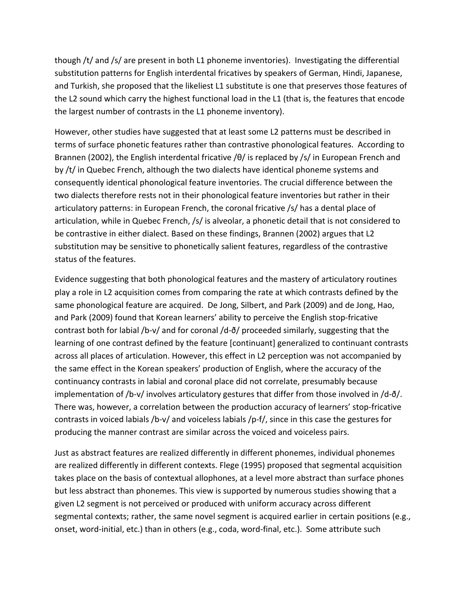though /t/ and /s/ are present in both L1 phoneme inventories). Investigating the differential substitution patterns for English interdental fricatives by speakers of German, Hindi, Japanese, and Turkish, she proposed that the likeliest L1 substitute is one that preserves those features of the L2 sound which carry the highest functional load in the L1 (that is, the features that encode the largest number of contrasts in the L1 phoneme inventory).

However, other studies have suggested that at least some L2 patterns must be described in terms of surface phonetic features rather than contrastive phonological features. According to Brannen (2002), the English interdental fricative /θ/ is replaced by /s/ in European French and by /t/ in Quebec French, although the two dialects have identical phoneme systems and consequently identical phonological feature inventories. The crucial difference between the two dialects therefore rests not in their phonological feature inventories but rather in their articulatory patterns: in European French, the coronal fricative /s/ has a dental place of articulation, while in Quebec French,  $/s/$  is alveolar, a phonetic detail that is not considered to be contrastive in either dialect. Based on these findings, Brannen (2002) argues that L2 substitution may be sensitive to phonetically salient features, regardless of the contrastive status of the features.

Evidence suggesting that both phonological features and the mastery of articulatory routines play a role in L2 acquisition comes from comparing the rate at which contrasts defined by the same phonological feature are acquired. De Jong, Silbert, and Park (2009) and de Jong, Hao, and Park (2009) found that Korean learners' ability to perceive the English stop-fricative contrast both for labial /b-v/ and for coronal /d- $\delta$ / proceeded similarly, suggesting that the learning of one contrast defined by the feature [continuant] generalized to continuant contrasts across all places of articulation. However, this effect in L2 perception was not accompanied by the same effect in the Korean speakers' production of English, where the accuracy of the continuancy contrasts in labial and coronal place did not correlate, presumably because implementation of /b-v/ involves articulatory gestures that differ from those involved in /d- $\delta$ /. There was, however, a correlation between the production accuracy of learners' stop-fricative contrasts in voiced labials /b-v/ and voiceless labials /p-f/, since in this case the gestures for producing the manner contrast are similar across the voiced and voiceless pairs.

Just as abstract features are realized differently in different phonemes, individual phonemes are realized differently in different contexts. Flege (1995) proposed that segmental acquisition takes place on the basis of contextual allophones, at a level more abstract than surface phones but less abstract than phonemes. This view is supported by numerous studies showing that a given L2 segment is not perceived or produced with uniform accuracy across different segmental contexts; rather, the same novel segment is acquired earlier in certain positions (e.g., onset, word-initial, etc.) than in others (e.g., coda, word-final, etc.). Some attribute such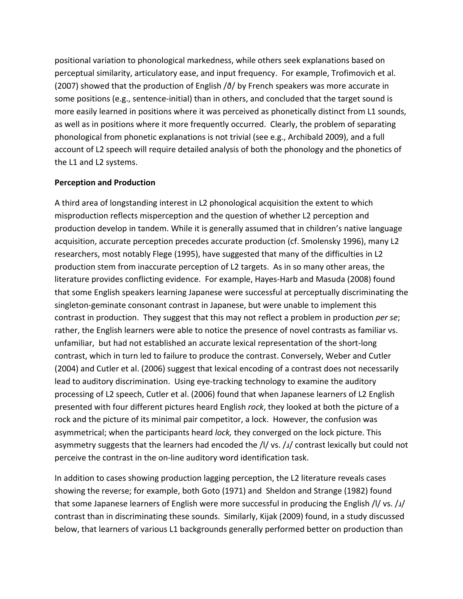positional variation to phonological markedness, while others seek explanations based on perceptual similarity, articulatory ease, and input frequency. For example, Trofimovich et al. (2007) showed that the production of English / $\delta$ / by French speakers was more accurate in some positions (e.g., sentence-initial) than in others, and concluded that the target sound is more easily learned in positions where it was perceived as phonetically distinct from L1 sounds, as well as in positions where it more frequently occurred. Clearly, the problem of separating phonological from phonetic explanations is not trivial (see e.g., Archibald 2009), and a full account of L2 speech will require detailed analysis of both the phonology and the phonetics of the L1 and L2 systems.

## **Perception'and Production**

A third area of longstanding interest in L2 phonological acquisition the extent to which misproduction reflects misperception and the question of whether L2 perception and production develop in tandem. While it is generally assumed that in children's native language acquisition, accurate perception precedes accurate production (cf. Smolensky 1996), many L2 researchers, most notably Flege (1995), have suggested that many of the difficulties in L2 production stem from inaccurate perception of L2 targets. As in so many other areas, the literature provides conflicting evidence. For example, Hayes-Harb and Masuda (2008) found that some English speakers learning Japanese were successful at perceptually discriminating the singleton-geminate consonant contrast in Japanese, but were unable to implement this contrast in production. They suggest that this may not reflect a problem in production *per se*; rather, the English learners were able to notice the presence of novel contrasts as familiar vs. unfamiliar, but had not established an accurate lexical representation of the short-long contrast, which in turn led to failure to produce the contrast. Conversely, Weber and Cutler (2004) and Cutler et al. (2006) suggest that lexical encoding of a contrast does not necessarily lead to auditory discrimination. Using eye-tracking technology to examine the auditory processing of L2 speech, Cutler et al. (2006) found that when Japanese learners of L2 English presented with four different pictures heard English *rock*, they looked at both the picture of a rock and the picture of its minimal pair competitor, a lock. However, the confusion was asymmetrical; when the participants heard *lock*, they converged on the lock picture. This asymmetry suggests that the learners had encoded the  $/$ l/ vs.  $/$  $/$  contrast lexically but could not perceive the contrast in the on-line auditory word identification task.

In addition to cases showing production lagging perception, the L2 literature reveals cases showing the reverse; for example, both Goto (1971) and Sheldon and Strange (1982) found that some Japanese learners of English were more successful in producing the English /l/ vs. /ɹ/ contrast than in discriminating these sounds. Similarly, Kijak (2009) found, in a study discussed below, that learners of various L1 backgrounds generally performed better on production than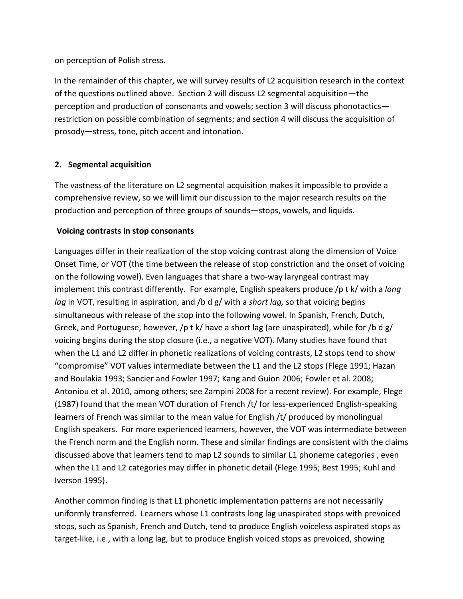on perception of Polish stress.

In the remainder of this chapter, we will survey results of L2 acquisition research in the context of the questions outlined above. Section 2 will discuss L2 segmental acquisition—the perception and production of consonants and vowels; section 3 will discuss phonotactics restriction on possible combination of segments; and section 4 will discuss the acquisition of prosody—stress, tone, pitch accent and intonation.

# **2. Segmental'acquisition'**

The vastness of the literature on L2 segmental acquisition makes it impossible to provide a comprehensive review, so we will limit our discussion to the major research results on the production and perception of three groups of sounds—stops, vowels, and liquids.

# **Voicing'contrasts'in stop'consonants**

Languages differ in their realization of the stop voicing contrast along the dimension of Voice Onset Time, or VOT (the time between the release of stop constriction and the onset of voicing on the following vowel). Even languages that share a two-way laryngeal contrast may implement this contrast differently. For example, English speakers produce /p t k/ with a *long lag* in VOT, resulting in aspiration, and /b d g/ with a *short lag*, so that voicing begins simultaneous with release of the stop into the following vowel. In Spanish, French, Dutch, Greek, and Portuguese, however, /p t k/ have a short lag (are unaspirated), while for /b d g/ voicing begins during the stop closure (i.e., a negative VOT). Many studies have found that when the L1 and L2 differ in phonetic realizations of voicing contrasts, L2 stops tend to show "compromise" VOT values intermediate between the L1 and the L2 stops (Flege 1991; Hazan and Boulakia 1993; Sancier and Fowler 1997; Kang and Guion 2006; Fowler et al. 2008; Antoniou et al. 2010, among others; see Zampini 2008 for a recent review). For example, Flege (1987) found that the mean VOT duration of French /t/ for less-experienced English-speaking learners of French was similar to the mean value for English  $/t/$  produced by monolingual English speakers. For more experienced learners, however, the VOT was intermediate between the French norm and the English norm. These and similar findings are consistent with the claims discussed above that learners tend to map L2 sounds to similar L1 phoneme categories, even when the L1 and L2 categories may differ in phonetic detail (Flege 1995; Best 1995; Kuhl and Iverson 1995).

Another common finding is that L1 phonetic implementation patterns are not necessarily uniformly transferred. Learners whose L1 contrasts long lag unaspirated stops with prevoiced stops, such as Spanish, French and Dutch, tend to produce English voiceless aspirated stops as target-like, i.e., with a long lag, but to produce English voiced stops as prevoiced, showing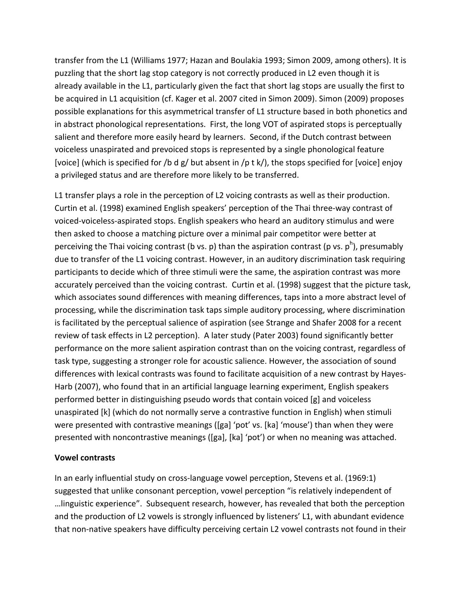transfer from the L1 (Williams 1977; Hazan and Boulakia 1993; Simon 2009, among others). It is puzzling that the short lag stop category is not correctly produced in L2 even though it is already available in the L1, particularly given the fact that short lag stops are usually the first to be acquired in L1 acquisition (cf. Kager et al. 2007 cited in Simon 2009). Simon (2009) proposes possible explanations for this asymmetrical transfer of L1 structure based in both phonetics and in abstract phonological representations. First, the long VOT of aspirated stops is perceptually salient and therefore more easily heard by learners. Second, if the Dutch contrast between voiceless unaspirated and prevoiced stops is represented by a single phonological feature [voice] (which is specified for /b d g/ but absent in /p t k/), the stops specified for [voice] enjoy a privileged status and are therefore more likely to be transferred.

L1 transfer plays a role in the perception of L2 voicing contrasts as well as their production. Curtin et al. (1998) examined English speakers' perception of the Thai three-way contrast of voiced-voiceless-aspirated stops. English speakers who heard an auditory stimulus and were then asked to choose a matching picture over a minimal pair competitor were better at perceiving the Thai voicing contrast (b vs. p) than the aspiration contrast (p vs.  $p^h$ ), presumably due to transfer of the L1 voicing contrast. However, in an auditory discrimination task requiring participants to decide which of three stimuli were the same, the aspiration contrast was more accurately perceived than the voicing contrast. Curtin et al. (1998) suggest that the picture task, which associates sound differences with meaning differences, taps into a more abstract level of processing, while the discrimination task taps simple auditory processing, where discrimination is facilitated by the perceptual salience of aspiration (see Strange and Shafer 2008 for a recent review of task effects in L2 perception). A later study (Pater 2003) found significantly better performance on the more salient aspiration contrast than on the voicing contrast, regardless of task type, suggesting a stronger role for acoustic salience. However, the association of sound differences with lexical contrasts was found to facilitate acquisition of a new contrast by Hayes-Harb (2007), who found that in an artificial language learning experiment, English speakers performed better in distinguishing pseudo words that contain voiced [g] and voiceless unaspirated [k] (which do not normally serve a contrastive function in English) when stimuli were presented with contrastive meanings ([ga] 'pot' vs. [ka] 'mouse') than when they were presented with noncontrastive meanings ([ga], [ka] 'pot') or when no meaning was attached.

## **Vowel contrasts**

In an early influential study on cross-language vowel perception, Stevens et al. (1969:1) suggested that unlike consonant perception, vowel perception "is relatively independent of …linguistic experience". Subsequent research, however, has revealed that both the perception and the production of L2 vowels is strongly influenced by listeners' L1, with abundant evidence that non-native speakers have difficulty perceiving certain L2 vowel contrasts not found in their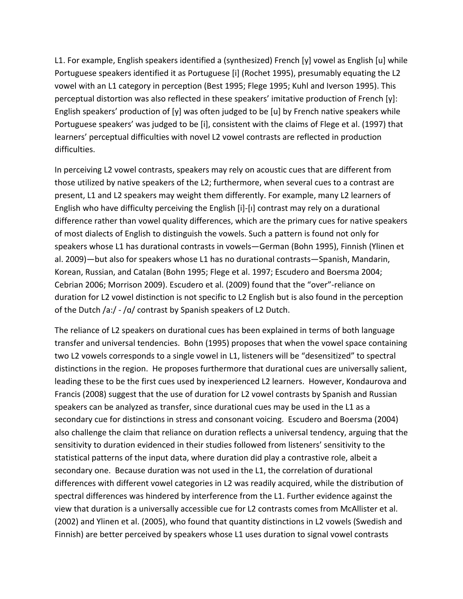L1. For example, English speakers identified a (synthesized) French [y] vowel as English [u] while Portuguese speakers identified it as Portuguese [i] (Rochet 1995), presumably equating the L2 vowel with an L1 category in perception (Best 1995; Flege 1995; Kuhl and Iverson 1995). This perceptual distortion was also reflected in these speakers' imitative production of French [y]: English speakers' production of [y] was often judged to be [u] by French native speakers while Portuguese speakers' was judged to be [i], consistent with the claims of Flege et al. (1997) that learners' perceptual difficulties with novel L2 vowel contrasts are reflected in production difficulties.

In perceiving L2 vowel contrasts, speakers may rely on acoustic cues that are different from those utilized by native speakers of the L2; furthermore, when several cues to a contrast are present, L1 and L2 speakers may weight them differently. For example, many L2 learners of English who have difficulty perceiving the English [i]-[i] contrast may rely on a durational difference rather than vowel quality differences, which are the primary cues for native speakers of most dialects of English to distinguish the vowels. Such a pattern is found not only for speakers whose L1 has durational contrasts in vowels-German (Bohn 1995), Finnish (Ylinen et al. 2009) — but also for speakers whose L1 has no durational contrasts—Spanish, Mandarin, Korean, Russian, and Catalan (Bohn 1995; Flege et al. 1997; Escudero and Boersma 2004; Cebrian 2006; Morrison 2009). Escudero et al. (2009) found that the "over"-reliance on duration for L2 vowel distinction is not specific to L2 English but is also found in the perception of the Dutch  $/a$ :/ -  $/a$ / contrast by Spanish speakers of L2 Dutch.

The reliance of L2 speakers on durational cues has been explained in terms of both language transfer and universal tendencies. Bohn (1995) proposes that when the vowel space containing two L2 vowels corresponds to a single vowel in L1, listeners will be "desensitized" to spectral distinctions in the region. He proposes furthermore that durational cues are universally salient, leading these to be the first cues used by inexperienced L2 learners. However, Kondaurova and Francis (2008) suggest that the use of duration for L2 vowel contrasts by Spanish and Russian speakers can be analyzed as transfer, since durational cues may be used in the L1 as a secondary cue for distinctions in stress and consonant voicing. Escudero and Boersma (2004) also challenge the claim that reliance on duration reflects a universal tendency, arguing that the sensitivity to duration evidenced in their studies followed from listeners' sensitivity to the statistical patterns of the input data, where duration did play a contrastive role, albeit a secondary one. Because duration was not used in the L1, the correlation of durational differences with different vowel categories in L2 was readily acquired, while the distribution of spectral differences was hindered by interference from the L1. Further evidence against the view that duration is a universally accessible cue for L2 contrasts comes from McAllister et al. (2002) and Ylinen et al. (2005), who found that quantity distinctions in L2 vowels (Swedish and Finnish) are better perceived by speakers whose L1 uses duration to signal vowel contrasts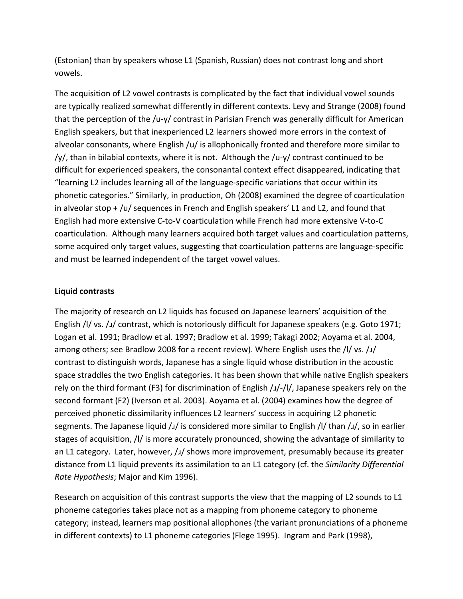(Estonian) than by speakers whose L1 (Spanish, Russian) does not contrast long and short vowels.

The acquisition of L2 vowel contrasts is complicated by the fact that individual vowel sounds are typically realized somewhat differently in different contexts. Levy and Strange (2008) found that the perception of the /u-y/ contrast in Parisian French was generally difficult for American English speakers, but that inexperienced L2 learners showed more errors in the context of alveolar consonants, where English /u/ is allophonically fronted and therefore more similar to /y/, than in bilabial contexts, where it is not. Although the /u-y/ contrast continued to be difficult for experienced speakers, the consonantal context effect disappeared, indicating that "learning L2 includes learning all of the language-specific variations that occur within its phonetic categories." Similarly, in production, Oh (2008) examined the degree of coarticulation in alveolar stop + /u/ sequences in French and English speakers' L1 and L2, and found that English had more extensive C-to-V coarticulation while French had more extensive V-to-C coarticulation. Although many learners acquired both target values and coarticulation patterns, some acquired only target values, suggesting that coarticulation patterns are language-specific and must be learned independent of the target vowel values.

## **Liquid contrasts**

The majority of research on L2 liquids has focused on Japanese learners' acquisition of the English /l/ vs. / $\mu$ / contrast, which is notoriously difficult for Japanese speakers (e.g. Goto 1971; Logan et al. 1991; Bradlow et al. 1997; Bradlow et al. 1999; Takagi 2002; Aoyama et al. 2004, among others; see Bradlow 2008 for a recent review). Where English uses the  $/$ l/ vs.  $/$  $/$ contrast to distinguish words, Japanese has a single liquid whose distribution in the acoustic space straddles the two English categories. It has been shown that while native English speakers rely on the third formant (F3) for discrimination of English  $\frac{1}{\sqrt{2}}$ , Japanese speakers rely on the second formant (F2) (Iverson et al. 2003). Aoyama et al. (2004) examines how the degree of perceived phonetic dissimilarity influences L2 learners' success in acquiring L2 phonetic segments. The Japanese liquid  $/₄/$  is considered more similar to English  $/$ l/ than  $/₄/$ , so in earlier stages of acquisition, /l/ is more accurately pronounced, showing the advantage of similarity to an L1 category. Later, however,  $/1/$  shows more improvement, presumably because its greater distance from L1 liquid prevents its assimilation to an L1 category (cf. the *Similarity Differential Rate Hypothesis*; Major and Kim 1996).

Research on acquisition of this contrast supports the view that the mapping of L2 sounds to L1 phoneme categories takes place not as a mapping from phoneme category to phoneme category; instead, learners map positional allophones (the variant pronunciations of a phoneme in different contexts) to L1 phoneme categories (Flege 1995). Ingram and Park (1998),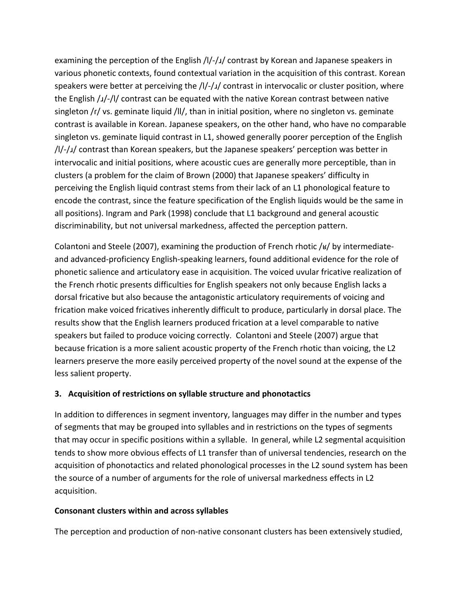examining the perception of the English /l/-/ $\mu$  contrast by Korean and Japanese speakers in various phonetic contexts, found contextual variation in the acquisition of this contrast. Korean speakers were better at perceiving the  $/$ l/ $-$ / $/$  contrast in intervocalic or cluster position, where the English  $\frac{1}{\sqrt{}}$ /l/ contrast can be equated with the native Korean contrast between native singleton  $/r/$  vs. geminate liquid /ll/, than in initial position, where no singleton vs. geminate contrast is available in Korean. Japanese speakers, on the other hand, who have no comparable singleton vs. geminate liquid contrast in L1, showed generally poorer perception of the English  $\frac{1}{4}$ / $\frac{1}{2}$  contrast than Korean speakers, but the Japanese speakers' perception was better in intervocalic and initial positions, where acoustic cues are generally more perceptible, than in clusters (a problem for the claim of Brown (2000) that Japanese speakers' difficulty in perceiving the English liquid contrast stems from their lack of an L1 phonological feature to encode the contrast, since the feature specification of the English liquids would be the same in all positions). Ingram and Park (1998) conclude that L1 background and general acoustic discriminability, but not universal markedness, affected the perception pattern.

Colantoni and Steele (2007), examining the production of French rhotic / $\frac{1}{8}$  by intermediateand advanced-proficiency English-speaking learners, found additional evidence for the role of phonetic salience and articulatory ease in acquisition. The voiced uvular fricative realization of the French rhotic presents difficulties for English speakers not only because English lacks a dorsal fricative but also because the antagonistic articulatory requirements of voicing and frication make voiced fricatives inherently difficult to produce, particularly in dorsal place. The results show that the English learners produced frication at a level comparable to native speakers but failed to produce voicing correctly. Colantoni and Steele (2007) argue that because frication is a more salient acoustic property of the French rhotic than voicing, the L2 learners preserve the more easily perceived property of the novel sound at the expense of the less salient property.

# **3.** Acquisition of restrictions on syllable structure and phonotactics

In addition to differences in segment inventory, languages may differ in the number and types of segments that may be grouped into syllables and in restrictions on the types of segments that may occur in specific positions within a syllable. In general, while L2 segmental acquisition tends to show more obvious effects of L1 transfer than of universal tendencies, research on the acquisition of phonotactics and related phonological processes in the L2 sound system has been the source of a number of arguments for the role of universal markedness effects in L2 acquisition.

# **Consonant'clusters within'and'across'syllables**

The perception and production of non-native consonant clusters has been extensively studied,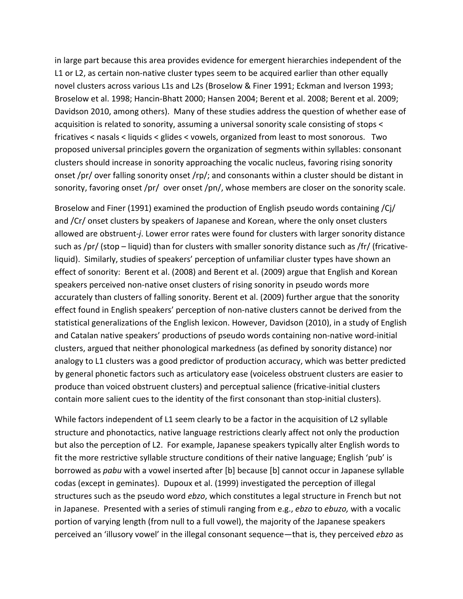in large part because this area provides evidence for emergent hierarchies independent of the L1 or L2, as certain non-native cluster types seem to be acquired earlier than other equally novel clusters across various L1s and L2s (Broselow & Finer 1991; Eckman and Iverson 1993; Broselow et al. 1998; Hancin-Bhatt 2000; Hansen 2004; Berent et al. 2008; Berent et al. 2009; Davidson 2010, among others). Many of these studies address the question of whether ease of acquisition is related to sonority, assuming a universal sonority scale consisting of stops < fricatives < nasals < liquids < glides < vowels, organized from least to most sonorous. Two proposed universal principles govern the organization of segments within syllables: consonant clusters should increase in sonority approaching the vocalic nucleus, favoring rising sonority onset /pr/ over falling sonority onset /rp/; and consonants within a cluster should be distant in sonority, favoring onset /pr/ over onset /pn/, whose members are closer on the sonority scale.

Broselow and Finer (1991) examined the production of English pseudo words containing /Cj/ and /Cr/ onset clusters by speakers of Japanese and Korean, where the only onset clusters allowed are obstruent-*i*. Lower error rates were found for clusters with larger sonority distance such as /pr/ (stop  $-$  liquid) than for clusters with smaller sonority distance such as /fr/ (fricativeliquid). Similarly, studies of speakers' perception of unfamiliar cluster types have shown an effect of sonority: Berent et al. (2008) and Berent et al. (2009) argue that English and Korean speakers perceived non-native onset clusters of rising sonority in pseudo words more accurately than clusters of falling sonority. Berent et al. (2009) further argue that the sonority effect found in English speakers' perception of non-native clusters cannot be derived from the statistical generalizations of the English lexicon. However, Davidson (2010), in a study of English and Catalan native speakers' productions of pseudo words containing non-native word-initial clusters, argued that neither phonological markedness (as defined by sonority distance) nor analogy to L1 clusters was a good predictor of production accuracy, which was better predicted by general phonetic factors such as articulatory ease (voiceless obstruent clusters are easier to produce than voiced obstruent clusters) and perceptual salience (fricative-initial clusters contain more salient cues to the identity of the first consonant than stop-initial clusters).

While factors independent of L1 seem clearly to be a factor in the acquisition of L2 syllable structure and phonotactics, native language restrictions clearly affect not only the production but also the perception of L2. For example, Japanese speakers typically alter English words to fit the more restrictive syllable structure conditions of their native language; English 'pub' is borrowed as *pabu* with a vowel inserted after [b] because [b] cannot occur in Japanese syllable codas (except in geminates). Dupoux et al. (1999) investigated the perception of illegal structures such as the pseudo word ebzo, which constitutes a legal structure in French but not in Japanese. Presented with a series of stimuli ranging from e.g., ebzo to ebuzo, with a vocalic portion of varying length (from null to a full vowel), the majority of the Japanese speakers perceived an 'illusory vowel' in the illegal consonant sequence—that is, they perceived ebzo as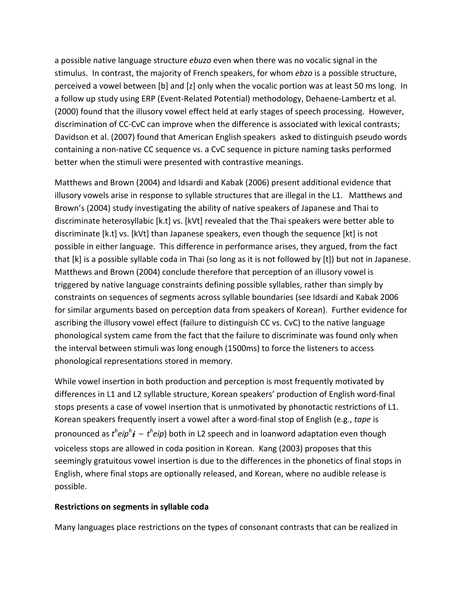a possible native language structure ebuzo even when there was no vocalic signal in the stimulus. In contrast, the majority of French speakers, for whom ebzo is a possible structure, perceived a vowel between [b] and [z] only when the vocalic portion was at least 50 ms long. In a follow up study using ERP (Event-Related Potential) methodology, Dehaene-Lambertz et al. (2000) found that the illusory vowel effect held at early stages of speech processing. However, discrimination of CC-CvC can improve when the difference is associated with lexical contrasts; Davidson et al. (2007) found that American English speakers asked to distinguish pseudo words containing a non-native CC sequence vs. a CvC sequence in picture naming tasks performed better when the stimuli were presented with contrastive meanings.

Matthews and Brown (2004) and Idsardi and Kabak (2006) present additional evidence that illusory vowels arise in response to syllable structures that are illegal in the L1. Matthews and Brown's (2004) study investigating the ability of native speakers of Japanese and Thai to discriminate heterosyllabic [k.t] vs. [kVt] revealed that the Thai speakers were better able to discriminate [k.t] vs. [kVt] than Japanese speakers, even though the sequence [kt] is not possible in either language. This difference in performance arises, they argued, from the fact that [k] is a possible syllable coda in Thai (so long as it is not followed by [t]) but not in Japanese. Matthews and Brown (2004) conclude therefore that perception of an illusory vowel is triggered by native language constraints defining possible syllables, rather than simply by constraints on sequences of segments across syllable boundaries (see Idsardi and Kabak 2006 for similar arguments based on perception data from speakers of Korean). Further evidence for ascribing the illusory vowel effect (failure to distinguish CC vs. CvC) to the native language phonological system came from the fact that the failure to discriminate was found only when the interval between stimuli was long enough (1500ms) to force the listeners to access phonological representations stored in memory.

While vowel insertion in both production and perception is most frequently motivated by differences in L1 and L2 syllable structure, Korean speakers' production of English word-final stops presents a case of vowel insertion that is unmotivated by phonotactic restrictions of L1. Korean speakers frequently insert a vowel after a word-final stop of English (e.g., tape is pronounced as  $t^{h}e^{h}$   $\neq$   $t^{h}e^{h}$ ) both in L2 speech and in loanword adaptation even though voiceless stops are allowed in coda position in Korean. Kang (2003) proposes that this seemingly gratuitous vowel insertion is due to the differences in the phonetics of final stops in English, where final stops are optionally released, and Korean, where no audible release is possible.

## Restrictions on segments in syllable coda

Many languages place restrictions on the types of consonant contrasts that can be realized in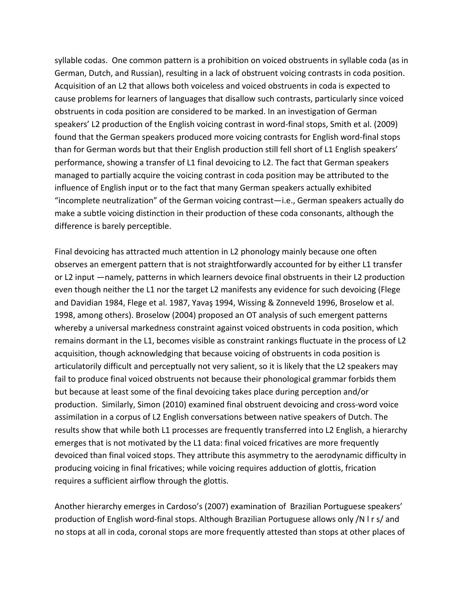syllable codas. One common pattern is a prohibition on voiced obstruents in syllable coda (as in German, Dutch, and Russian), resulting in a lack of obstruent voicing contrasts in coda position. Acquisition of an L2 that allows both voiceless and voiced obstruents in coda is expected to cause problems for learners of languages that disallow such contrasts, particularly since voiced obstruents in coda position are considered to be marked. In an investigation of German speakers' L2 production of the English voicing contrast in word-final stops, Smith et al. (2009) found that the German speakers produced more voicing contrasts for English word-final stops than for German words but that their English production still fell short of L1 English speakers' performance, showing a transfer of L1 final devoicing to L2. The fact that German speakers managed to partially acquire the voicing contrast in coda position may be attributed to the influence of English input or to the fact that many German speakers actually exhibited "incomplete neutralization" of the German voicing contrast—i.e., German speakers actually do make a subtle voicing distinction in their production of these coda consonants, although the difference is barely perceptible.

Final devoicing has attracted much attention in L2 phonology mainly because one often observes an emergent pattern that is not straightforwardly accounted for by either L1 transfer or L2 input —namely, patterns in which learners devoice final obstruents in their L2 production even though neither the L1 nor the target L2 manifests any evidence for such devoicing (Flege and Davidian 1984, Flege et al. 1987, Yavaş 1994, Wissing & Zonneveld 1996, Broselow et al. 1998, among others). Broselow (2004) proposed an OT analysis of such emergent patterns whereby a universal markedness constraint against voiced obstruents in coda position, which remains dormant in the L1, becomes visible as constraint rankings fluctuate in the process of L2 acquisition, though acknowledging that because voicing of obstruents in coda position is articulatorily difficult and perceptually not very salient, so it is likely that the L2 speakers may fail to produce final voiced obstruents not because their phonological grammar forbids them but because at least some of the final devoicing takes place during perception and/or production. Similarly, Simon (2010) examined final obstruent devoicing and cross-word voice assimilation in a corpus of L2 English conversations between native speakers of Dutch. The results show that while both L1 processes are frequently transferred into L2 English, a hierarchy emerges that is not motivated by the L1 data: final voiced fricatives are more frequently devoiced than final voiced stops. They attribute this asymmetry to the aerodynamic difficulty in producing voicing in final fricatives; while voicing requires adduction of glottis, frication requires a sufficient airflow through the glottis.

Another hierarchy emerges in Cardoso's (2007) examination of Brazilian Portuguese speakers' production of English word-final stops. Although Brazilian Portuguese allows only /N l r s/ and no stops at all in coda, coronal stops are more frequently attested than stops at other places of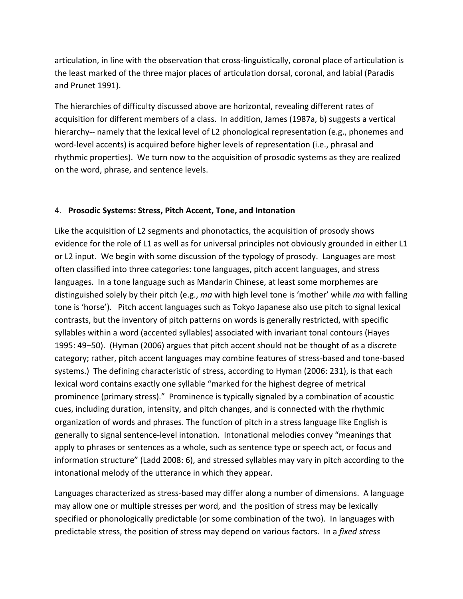articulation, in line with the observation that cross-linguistically, coronal place of articulation is the least marked of the three major places of articulation dorsal, coronal, and labial (Paradis and Prunet 1991).

The hierarchies of difficulty discussed above are horizontal, revealing different rates of acquisition for different members of a class. In addition, James (1987a, b) suggests a vertical hierarchy-- namely that the lexical level of L2 phonological representation (e.g., phonemes and word-level accents) is acquired before higher levels of representation (i.e., phrasal and rhythmic properties). We turn now to the acquisition of prosodic systems as they are realized on the word, phrase, and sentence levels.

# 4. Prosodic Systems: Stress, Pitch Accent, Tone, and Intonation

Like the acquisition of L2 segments and phonotactics, the acquisition of prosody shows evidence for the role of L1 as well as for universal principles not obviously grounded in either L1 or L2 input. We begin with some discussion of the typology of prosody. Languages are most often classified into three categories: tone languages, pitch accent languages, and stress languages. In a tone language such as Mandarin Chinese, at least some morphemes are distinguished solely by their pitch (e.g., ma with high level tone is 'mother' while ma with falling tone is 'horse'). Pitch accent languages such as Tokyo Japanese also use pitch to signal lexical contrasts, but the inventory of pitch patterns on words is generally restricted, with specific syllables within a word (accented syllables) associated with invariant tonal contours (Hayes 1995: 49–50). (Hyman (2006) argues that pitch accent should not be thought of as a discrete category; rather, pitch accent languages may combine features of stress-based and tone-based systems.) The defining characteristic of stress, according to Hyman (2006: 231), is that each lexical word contains exactly one syllable "marked for the highest degree of metrical prominence (primary stress)." Prominence is typically signaled by a combination of acoustic cues, including duration, intensity, and pitch changes, and is connected with the rhythmic organization of words and phrases. The function of pitch in a stress language like English is generally to signal sentence-level intonation. Intonational melodies convey "meanings that apply to phrases or sentences as a whole, such as sentence type or speech act, or focus and information structure" (Ladd 2008: 6), and stressed syllables may vary in pitch according to the intonational melody of the utterance in which they appear.

Languages characterized as stress-based may differ along a number of dimensions. A language may allow one or multiple stresses per word, and the position of stress may be lexically specified or phonologically predictable (or some combination of the two). In languages with predictable stress, the position of stress may depend on various factors. In a fixed stress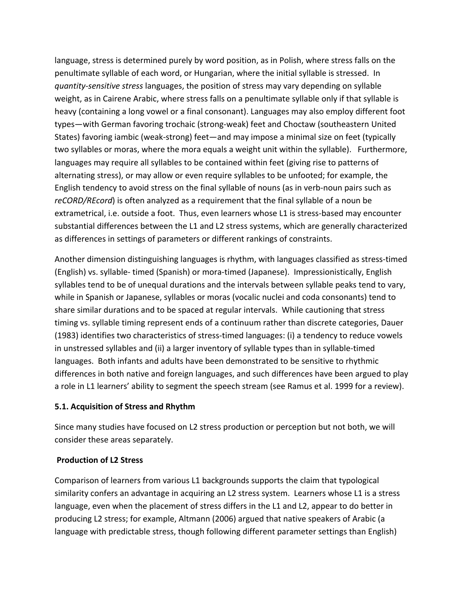language, stress is determined purely by word position, as in Polish, where stress falls on the penultimate syllable of each word, or Hungarian, where the initial syllable is stressed. In quantity-sensitive stress languages, the position of stress may vary depending on syllable weight, as in Cairene Arabic, where stress falls on a penultimate syllable only if that syllable is heavy (containing a long vowel or a final consonant). Languages may also employ different foot types-with German favoring trochaic (strong-weak) feet and Choctaw (southeastern United States) favoring iambic (weak-strong) feet—and may impose a minimal size on feet (typically two syllables or moras, where the mora equals a weight unit within the syllable). Furthermore, languages may require all syllables to be contained within feet (giving rise to patterns of alternating stress), or may allow or even require syllables to be unfooted; for example, the English tendency to avoid stress on the final syllable of nouns (as in verb-noun pairs such as reCORD/REcord) is often analyzed as a requirement that the final syllable of a noun be extrametrical, i.e. outside a foot. Thus, even learners whose L1 is stress-based may encounter substantial differences between the L1 and L2 stress systems, which are generally characterized as differences in settings of parameters or different rankings of constraints.

Another dimension distinguishing languages is rhythm, with languages classified as stress-timed (English) vs. syllable- timed (Spanish) or mora-timed (Japanese). Impressionistically, English syllables tend to be of unequal durations and the intervals between syllable peaks tend to vary, while in Spanish or Japanese, syllables or moras (vocalic nuclei and coda consonants) tend to share similar durations and to be spaced at regular intervals. While cautioning that stress timing vs. syllable timing represent ends of a continuum rather than discrete categories, Dauer (1983) identifies two characteristics of stress-timed languages: (i) a tendency to reduce vowels in unstressed syllables and (ii) a larger inventory of syllable types than in syllable-timed languages. Both infants and adults have been demonstrated to be sensitive to rhythmic differences in both native and foreign languages, and such differences have been argued to play a role in L1 learners' ability to segment the speech stream (see Ramus et al. 1999 for a review).

## 5.1. Acquisition of Stress and Rhythm

Since many studies have focused on L2 stress production or perception but not both, we will consider these areas separately.

# **Production of L2 Stress**

Comparison of learners from various L1 backgrounds supports the claim that typological similarity confers an advantage in acquiring an L2 stress system. Learners whose L1 is a stress language, even when the placement of stress differs in the L1 and L2, appear to do better in producing L2 stress; for example, Altmann (2006) argued that native speakers of Arabic (a language with predictable stress, though following different parameter settings than English)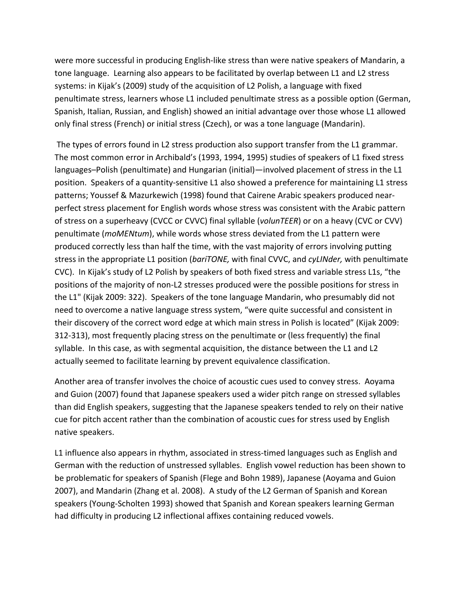were more successful in producing English-like stress than were native speakers of Mandarin, a tone language. Learning also appears to be facilitated by overlap between L1 and L2 stress systems: in Kijak's (2009) study of the acquisition of L2 Polish, a language with fixed penultimate stress, learners whose L1 included penultimate stress as a possible option (German, Spanish, Italian, Russian, and English) showed an initial advantage over those whose L1 allowed only final stress (French) or initial stress (Czech), or was a tone language (Mandarin).

The types of errors found in L2 stress production also support transfer from the L1 grammar. The most common error in Archibald's (1993, 1994, 1995) studies of speakers of L1 fixed stress languages–Polish (penultimate) and Hungarian (initial)—involved placement of stress in the L1 position. Speakers of a quantity-sensitive L1 also showed a preference for maintaining L1 stress patterns; Youssef & Mazurkewich (1998) found that Cairene Arabic speakers produced nearperfect stress placement for English words whose stress was consistent with the Arabic pattern of stress on a superheavy (CVCC or CVVC) final syllable (*volunTEER*) or on a heavy (CVC or CVV) penultimate (*moMENtum*), while words whose stress deviated from the L1 pattern were produced correctly less than half the time, with the vast majority of errors involving putting stress in the appropriate L1 position (*bariTONE*, with final CVVC, and *cyLINder*, with penultimate CVC). In Kijak's study of L2 Polish by speakers of both fixed stress and variable stress L1s, "the positions of the majority of non-L2 stresses produced were the possible positions for stress in the L1" (Kijak 2009: 322). Speakers of the tone language Mandarin, who presumably did not need to overcome a native language stress system, "were quite successful and consistent in their discovery of the correct word edge at which main stress in Polish is located" (Kijak 2009: 312-313), most frequently placing stress on the penultimate or (less frequently) the final syllable. In this case, as with segmental acquisition, the distance between the L1 and L2 actually seemed to facilitate learning by prevent equivalence classification.

Another area of transfer involves the choice of acoustic cues used to convey stress. Aoyama and Guion (2007) found that Japanese speakers used a wider pitch range on stressed syllables than did English speakers, suggesting that the Japanese speakers tended to rely on their native cue for pitch accent rather than the combination of acoustic cues for stress used by English native speakers.

L1 influence also appears in rhythm, associated in stress-timed languages such as English and German with the reduction of unstressed syllables. English vowel reduction has been shown to be problematic for speakers of Spanish (Flege and Bohn 1989), Japanese (Aoyama and Guion 2007), and Mandarin (Zhang et al. 2008). A study of the L2 German of Spanish and Korean speakers (Young-Scholten 1993) showed that Spanish and Korean speakers learning German had difficulty in producing L2 inflectional affixes containing reduced vowels.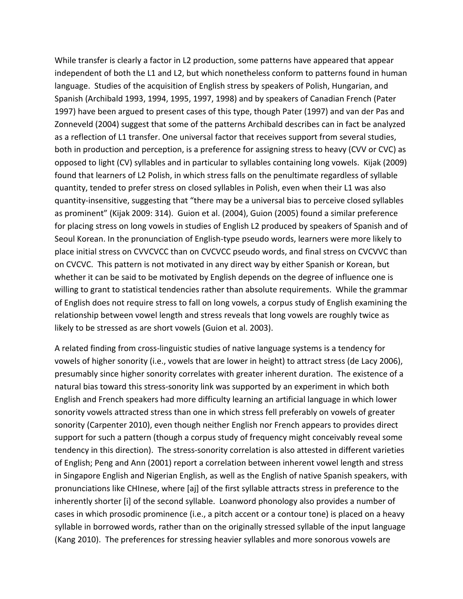While transfer is clearly a factor in L2 production, some patterns have appeared that appear independent of both the L1 and L2, but which nonetheless conform to patterns found in human language. Studies of the acquisition of English stress by speakers of Polish, Hungarian, and Spanish (Archibald 1993, 1994, 1995, 1997, 1998) and by speakers of Canadian French (Pater 1997) have been argued to present cases of this type, though Pater (1997) and van der Pas and Zonneveld (2004) suggest that some of the patterns Archibald describes can in fact be analyzed as a reflection of L1 transfer. One universal factor that receives support from several studies, both in production and perception, is a preference for assigning stress to heavy (CVV or CVC) as opposed to light (CV) syllables and in particular to syllables containing long vowels. Kijak (2009) found that learners of L2 Polish, in which stress falls on the penultimate regardless of syllable quantity, tended to prefer stress on closed syllables in Polish, even when their L1 was also quantity-insensitive, suggesting that "there may be a universal bias to perceive closed syllables as prominent" (Kijak 2009: 314). Guion et al. (2004), Guion (2005) found a similar preference for placing stress on long vowels in studies of English L2 produced by speakers of Spanish and of Seoul Korean. In the pronunciation of English-type pseudo words, learners were more likely to place initial stress on CVVCVCC than on CVCVCC pseudo words, and final stress on CVCVVC than on CVCVC. This pattern is not motivated in any direct way by either Spanish or Korean, but whether it can be said to be motivated by English depends on the degree of influence one is willing to grant to statistical tendencies rather than absolute requirements. While the grammar of English does not require stress to fall on long vowels, a corpus study of English examining the relationship between vowel length and stress reveals that long vowels are roughly twice as likely to be stressed as are short vowels (Guion et al. 2003).

A related finding from cross-linguistic studies of native language systems is a tendency for vowels of higher sonority (i.e., vowels that are lower in height) to attract stress (de Lacy 2006), presumably since higher sonority correlates with greater inherent duration. The existence of a natural bias toward this stress-sonority link was supported by an experiment in which both English and French speakers had more difficulty learning an artificial language in which lower sonority vowels attracted stress than one in which stress fell preferably on vowels of greater sonority (Carpenter 2010), even though neither English nor French appears to provides direct support for such a pattern (though a corpus study of frequency might conceivably reveal some tendency in this direction). The stress-sonority correlation is also attested in different varieties of English; Peng and Ann (2001) report a correlation between inherent vowel length and stress in Singapore English and Nigerian English, as well as the English of native Spanish speakers, with pronunciations like CHInese, where [aj] of the first syllable attracts stress in preference to the inherently shorter [i] of the second syllable. Loanword phonology also provides a number of cases in which prosodic prominence (i.e., a pitch accent or a contour tone) is placed on a heavy syllable in borrowed words, rather than on the originally stressed syllable of the input language (Kang 2010). The preferences for stressing heavier syllables and more sonorous vowels are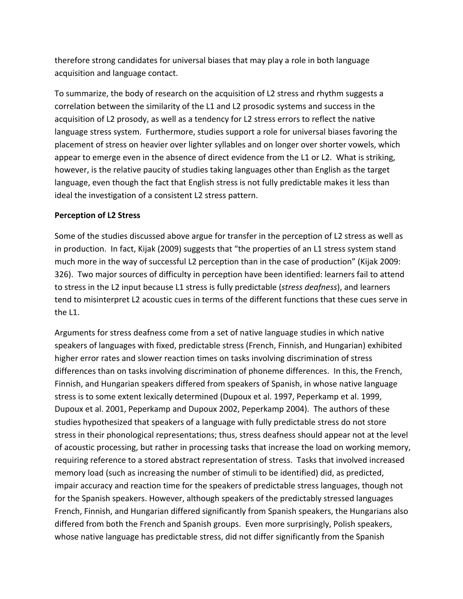therefore strong candidates for universal biases that may play a role in both language acquisition and language contact.

To summarize, the body of research on the acquisition of L2 stress and rhythm suggests a correlation between the similarity of the L1 and L2 prosodic systems and success in the acquisition of L2 prosody, as well as a tendency for L2 stress errors to reflect the native language stress system. Furthermore, studies support a role for universal biases favoring the placement of stress on heavier over lighter syllables and on longer over shorter vowels, which appear to emerge even in the absence of direct evidence from the L1 or L2. What is striking, however, is the relative paucity of studies taking languages other than English as the target language, even though the fact that English stress is not fully predictable makes it less than ideal the investigation of a consistent L2 stress pattern.

#### Perception of L<sub>2</sub> Stress

Some of the studies discussed above argue for transfer in the perception of L2 stress as well as in production. In fact, Kijak (2009) suggests that "the properties of an L1 stress system stand much more in the way of successful L2 perception than in the case of production" (Kijak 2009: 326). Two major sources of difficulty in perception have been identified: learners fail to attend to stress in the L2 input because L1 stress is fully predictable (*stress deafness*), and learners tend to misinterpret L2 acoustic cues in terms of the different functions that these cues serve in the L1.

Arguments for stress deafness come from a set of native language studies in which native speakers of languages with fixed, predictable stress (French, Finnish, and Hungarian) exhibited higher error rates and slower reaction times on tasks involving discrimination of stress differences than on tasks involving discrimination of phoneme differences. In this, the French, Finnish, and Hungarian speakers differed from speakers of Spanish, in whose native language stress is to some extent lexically determined (Dupoux et al. 1997, Peperkamp et al. 1999, Dupoux et al. 2001, Peperkamp and Dupoux 2002, Peperkamp 2004). The authors of these studies hypothesized that speakers of a language with fully predictable stress do not store stress in their phonological representations; thus, stress deafness should appear not at the level of acoustic processing, but rather in processing tasks that increase the load on working memory, requiring reference to a stored abstract representation of stress. Tasks that involved increased memory load (such as increasing the number of stimuli to be identified) did, as predicted, impair accuracy and reaction time for the speakers of predictable stress languages, though not for the Spanish speakers. However, although speakers of the predictably stressed languages French, Finnish, and Hungarian differed significantly from Spanish speakers, the Hungarians also differed from both the French and Spanish groups. Even more surprisingly, Polish speakers, whose native language has predictable stress, did not differ significantly from the Spanish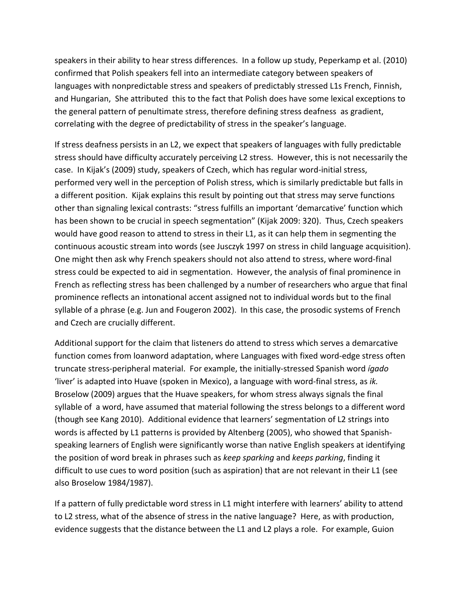speakers in their ability to hear stress differences. In a follow up study, Peperkamp et al. (2010) confirmed that Polish speakers fell into an intermediate category between speakers of languages with nonpredictable stress and speakers of predictably stressed L1s French, Finnish, and Hungarian, She attributed this to the fact that Polish does have some lexical exceptions to the general pattern of penultimate stress, therefore defining stress deafness as gradient, correlating with the degree of predictability of stress in the speaker's language.

If stress deafness persists in an L2, we expect that speakers of languages with fully predictable stress should have difficulty accurately perceiving L2 stress. However, this is not necessarily the case. In Kijak's (2009) study, speakers of Czech, which has regular word-initial stress, performed very well in the perception of Polish stress, which is similarly predictable but falls in a different position. Kijak explains this result by pointing out that stress may serve functions other than signaling lexical contrasts: "stress fulfills an important 'demarcative' function which has been shown to be crucial in speech segmentation" (Kijak 2009: 320). Thus, Czech speakers would have good reason to attend to stress in their L1, as it can help them in segmenting the continuous acoustic stream into words (see Jusczyk 1997 on stress in child language acquisition). One might then ask why French speakers should not also attend to stress, where word-final stress could be expected to aid in segmentation. However, the analysis of final prominence in French as reflecting stress has been challenged by a number of researchers who argue that final prominence reflects an intonational accent assigned not to individual words but to the final syllable of a phrase (e.g. Jun and Fougeron 2002). In this case, the prosodic systems of French and Czech are crucially different.

Additional support for the claim that listeners do attend to stress which serves a demarcative function comes from loanword adaptation, where Languages with fixed word-edge stress often truncate stress-peripheral material. For example, the initially-stressed Spanish word *ígado* 'liver' is adapted into Huave (spoken in Mexico), a language with word-final stress, as *ik.* Broselow (2009) argues that the Huave speakers, for whom stress always signals the final syllable of a word, have assumed that material following the stress belongs to a different word (though see Kang 2010). Additional evidence that learners' segmentation of L2 strings into words is affected by L1 patterns is provided by Altenberg (2005), who showed that Spanishspeaking learners of English were significantly worse than native English speakers at identifying the position of word break in phrases such as *keep sparking* and *keeps parking*, finding it difficult to use cues to word position (such as aspiration) that are not relevant in their L1 (see also Broselow 1984/1987).

If a pattern of fully predictable word stress in L1 might interfere with learners' ability to attend to L2 stress, what of the absence of stress in the native language? Here, as with production, evidence suggests that the distance between the L1 and L2 plays a role. For example, Guion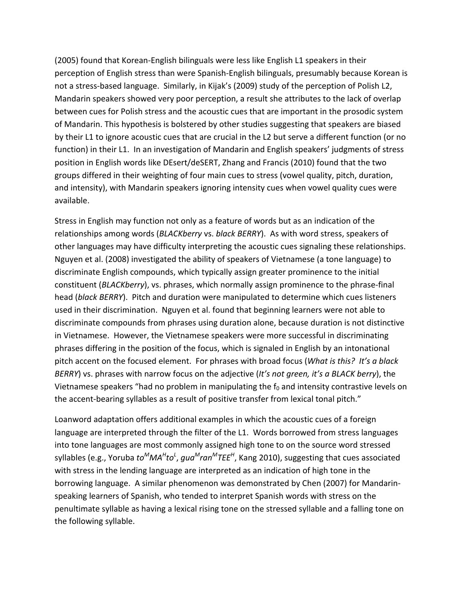(2005) found that Korean-English bilinguals were less like English L1 speakers in their perception of English stress than were Spanish-English bilinguals, presumably because Korean is not a stress-based language. Similarly, in Kijak's (2009) study of the perception of Polish L2, Mandarin speakers showed very poor perception, a result she attributes to the lack of overlap between cues for Polish stress and the acoustic cues that are important in the prosodic system of Mandarin. This hypothesis is bolstered by other studies suggesting that speakers are biased by their L1 to ignore acoustic cues that are crucial in the L2 but serve a different function (or no function) in their L1. In an investigation of Mandarin and English speakers' judgments of stress position in English words like DEsert/deSERT, Zhang and Francis (2010) found that the two groups differed in their weighting of four main cues to stress (vowel quality, pitch, duration, and intensity), with Mandarin speakers ignoring intensity cues when vowel quality cues were available.

Stress in English may function not only as a feature of words but as an indication of the relationships among words (*BLACKberry* vs. *black BERRY*). As with word stress, speakers of other languages may have difficulty interpreting the acoustic cues signaling these relationships. Nguyen et al. (2008) investigated the ability of speakers of Vietnamese (a tone language) to discriminate English compounds, which typically assign greater prominence to the initial constituent (*BLACKberry*), vs. phrases, which normally assign prominence to the phrase-final head (*black BERRY*). Pitch and duration were manipulated to determine which cues listeners used in their discrimination. Nguyen et al. found that beginning learners were not able to discriminate compounds from phrases using duration alone, because duration is not distinctive in Vietnamese. However, the Vietnamese speakers were more successful in discriminating phrases differing in the position of the focus, which is signaled in English by an intonational pitch accent on the focused element. For phrases with broad focus (*What is this? It's a black BERRY*) vs. phrases with narrow focus on the adjective (*It's not green, it's a BLACK berry*), the Vietnamese speakers "had no problem in manipulating the  $f_0$  and intensity contrastive levels on the accent-bearing syllables as a result of positive transfer from lexical tonal pitch."

Loanword adaptation offers additional examples in which the acoustic cues of a foreign language are interpreted through the filter of the L1. Words borrowed from stress languages into tone languages are most commonly assigned high tone to on the source word stressed syllables (e.g., Yoruba *to<sup>M</sup>MA<sup>H</sup>to<sup>L</sup>, gua<sup>M</sup>ran<sup>M</sup>TEE<sup>H</sup>, Kang 2010), suggesting that cues associated* with stress in the lending language are interpreted as an indication of high tone in the borrowing language. A similar phenomenon was demonstrated by Chen (2007) for Mandarinspeaking learners of Spanish, who tended to interpret Spanish words with stress on the penultimate syllable as having a lexical rising tone on the stressed syllable and a falling tone on the following syllable.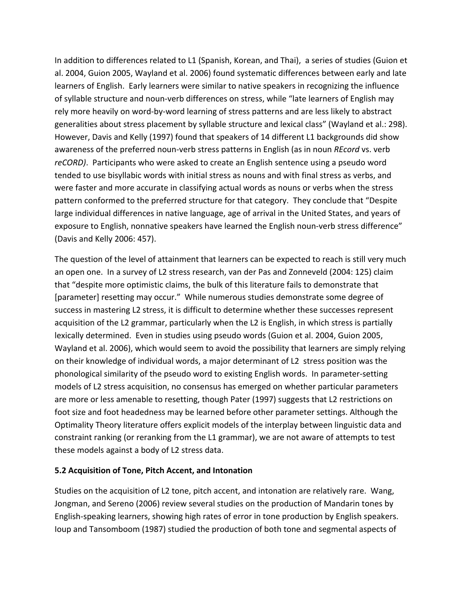In addition to differences related to L1 (Spanish, Korean, and Thai), a series of studies (Guion et al. 2004, Guion 2005, Wayland et al. 2006) found systematic differences between early and late learners of English. Early learners were similar to native speakers in recognizing the influence of syllable structure and noun-verb differences on stress, while "late learners of English may rely more heavily on word-by-word learning of stress patterns and are less likely to abstract generalities about stress placement by syllable structure and lexical class" (Wayland et al.: 298). However, Davis and Kelly (1997) found that speakers of 14 different L1 backgrounds did show awareness of the preferred noun-verb stress patterns in English (as in noun *REcord* vs. verb *reCORD)*. Participants who were asked to create an English sentence using a pseudo word tended to use bisyllabic words with initial stress as nouns and with final stress as verbs, and were faster and more accurate in classifying actual words as nouns or verbs when the stress pattern conformed to the preferred structure for that category. They conclude that "Despite large individual differences in native language, age of arrival in the United States, and years of exposure to English, nonnative speakers have learned the English noun-verb stress difference" (Davis and Kelly 2006: 457).

The question of the level of attainment that learners can be expected to reach is still very much an open one. In a survey of L2 stress research, van der Pas and Zonneveld (2004: 125) claim that "despite more optimistic claims, the bulk of this literature fails to demonstrate that [parameter] resetting may occur." While numerous studies demonstrate some degree of success in mastering L2 stress, it is difficult to determine whether these successes represent acquisition of the L2 grammar, particularly when the L2 is English, in which stress is partially lexically determined. Even in studies using pseudo words (Guion et al. 2004, Guion 2005, Wayland et al. 2006), which would seem to avoid the possibility that learners are simply relying on their knowledge of individual words, a major determinant of L2 stress position was the phonological similarity of the pseudo word to existing English words. In parameter-setting models of L2 stress acquisition, no consensus has emerged on whether particular parameters are more or less amenable to resetting, though Pater (1997) suggests that L2 restrictions on foot size and foot headedness may be learned before other parameter settings. Although the Optimality Theory literature offers explicit models of the interplay between linguistic data and constraint ranking (or reranking from the L1 grammar), we are not aware of attempts to test these models against a body of L2 stress data.

## 5.2 Acquisition of Tone, Pitch Accent, and Intonation

Studies on the acquisition of L2 tone, pitch accent, and intonation are relatively rare. Wang, Jongman, and Sereno (2006) review several studies on the production of Mandarin tones by English-speaking learners, showing high rates of error in tone production by English speakers. Ioup and Tansomboom (1987) studied the production of both tone and segmental aspects of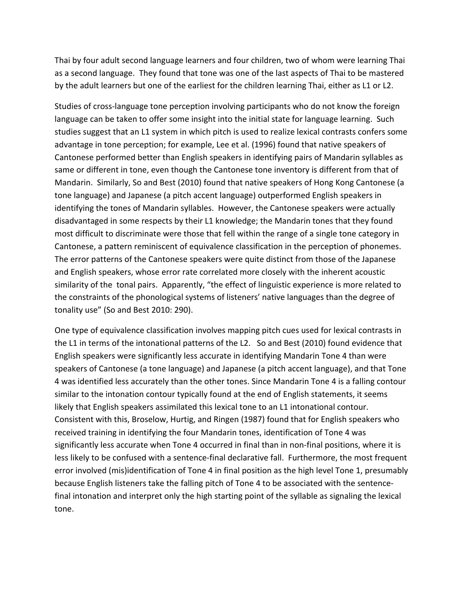Thai by four adult second language learners and four children, two of whom were learning Thai as a second language. They found that tone was one of the last aspects of Thai to be mastered by the adult learners but one of the earliest for the children learning Thai, either as L1 or L2.

Studies of cross-language tone perception involving participants who do not know the foreign language can be taken to offer some insight into the initial state for language learning. Such studies suggest that an L1 system in which pitch is used to realize lexical contrasts confers some advantage in tone perception; for example, Lee et al. (1996) found that native speakers of Cantonese performed better than English speakers in identifying pairs of Mandarin syllables as same or different in tone, even though the Cantonese tone inventory is different from that of Mandarin. Similarly, So and Best (2010) found that native speakers of Hong Kong Cantonese (a tone language) and Japanese (a pitch accent language) outperformed English speakers in identifying the tones of Mandarin syllables. However, the Cantonese speakers were actually disadvantaged in some respects by their L1 knowledge; the Mandarin tones that they found most difficult to discriminate were those that fell within the range of a single tone category in Cantonese, a pattern reminiscent of equivalence classification in the perception of phonemes. The error patterns of the Cantonese speakers were quite distinct from those of the Japanese and English speakers, whose error rate correlated more closely with the inherent acoustic similarity of the tonal pairs. Apparently, "the effect of linguistic experience is more related to the constraints of the phonological systems of listeners' native languages than the degree of tonality use" (So and Best 2010: 290).

One type of equivalence classification involves mapping pitch cues used for lexical contrasts in the L1 in terms of the intonational patterns of the L2. So and Best (2010) found evidence that English speakers were significantly less accurate in identifying Mandarin Tone 4 than were speakers of Cantonese (a tone language) and Japanese (a pitch accent language), and that Tone 4 was identified less accurately than the other tones. Since Mandarin Tone 4 is a falling contour similar to the intonation contour typically found at the end of English statements, it seems likely that English speakers assimilated this lexical tone to an L1 intonational contour. Consistent with this, Broselow, Hurtig, and Ringen (1987) found that for English speakers who received training in identifying the four Mandarin tones, identification of Tone 4 was significantly less accurate when Tone 4 occurred in final than in non-final positions, where it is less likely to be confused with a sentence-final declarative fall. Furthermore, the most frequent error involved (mis)identification of Tone 4 in final position as the high level Tone 1, presumably because English listeners take the falling pitch of Tone 4 to be associated with the sentencefinal intonation and interpret only the high starting point of the syllable as signaling the lexical tone.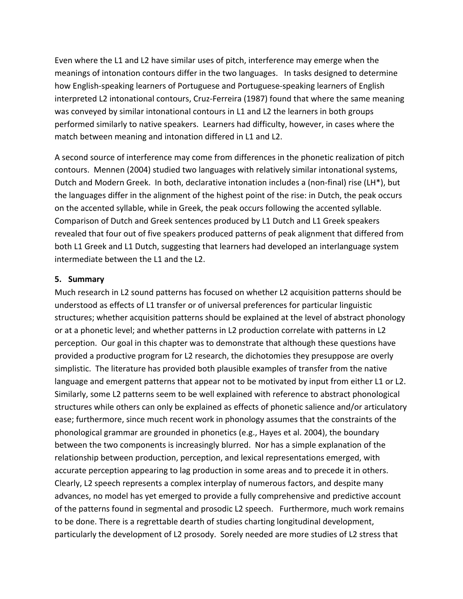Even where the L1 and L2 have similar uses of pitch, interference may emerge when the meanings of intonation contours differ in the two languages. In tasks designed to determine how English-speaking learners of Portuguese and Portuguese-speaking learners of English interpreted L2 intonational contours, Cruz-Ferreira (1987) found that where the same meaning was conveyed by similar intonational contours in L1 and L2 the learners in both groups performed similarly to native speakers. Learners had difficulty, however, in cases where the match between meaning and intonation differed in L1 and L2.

A second source of interference may come from differences in the phonetic realization of pitch contours. Mennen (2004) studied two languages with relatively similar intonational systems, Dutch and Modern Greek. In both, declarative intonation includes a (non-final) rise (LH\*), but the languages differ in the alignment of the highest point of the rise: in Dutch, the peak occurs on the accented syllable, while in Greek, the peak occurs following the accented syllable. Comparison of Dutch and Greek sentences produced by L1 Dutch and L1 Greek speakers revealed that four out of five speakers produced patterns of peak alignment that differed from both L1 Greek and L1 Dutch, suggesting that learners had developed an interlanguage system intermediate between the L1 and the L2.

## **5. Summary**

Much research in L2 sound patterns has focused on whether L2 acquisition patterns should be understood as effects of L1 transfer or of universal preferences for particular linguistic structures; whether acquisition patterns should be explained at the level of abstract phonology or at a phonetic level; and whether patterns in L2 production correlate with patterns in L2 perception. Our goal in this chapter was to demonstrate that although these questions have provided a productive program for L2 research, the dichotomies they presuppose are overly simplistic. The literature has provided both plausible examples of transfer from the native language and emergent patterns that appear not to be motivated by input from either L1 or L2. Similarly, some L2 patterns seem to be well explained with reference to abstract phonological structures while others can only be explained as effects of phonetic salience and/or articulatory ease; furthermore, since much recent work in phonology assumes that the constraints of the phonological grammar are grounded in phonetics (e.g., Hayes et al. 2004), the boundary between the two components is increasingly blurred. Nor has a simple explanation of the relationship between production, perception, and lexical representations emerged, with accurate perception appearing to lag production in some areas and to precede it in others. Clearly, L2 speech represents a complex interplay of numerous factors, and despite many advances, no model has yet emerged to provide a fully comprehensive and predictive account of the patterns found in segmental and prosodic L2 speech. Furthermore, much work remains to be done. There is a regrettable dearth of studies charting longitudinal development, particularly the development of L2 prosody. Sorely needed are more studies of L2 stress that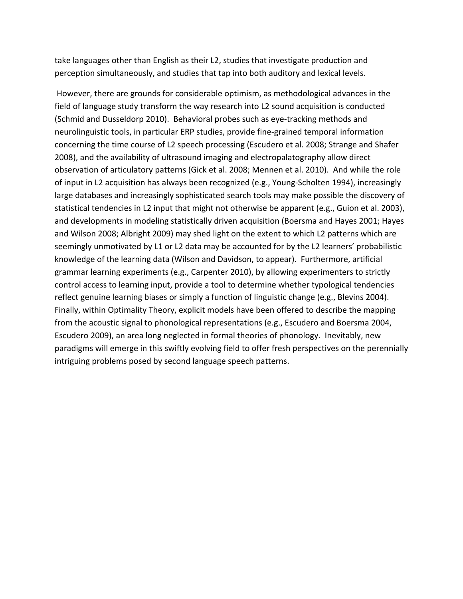take languages other than English as their L2, studies that investigate production and perception simultaneously, and studies that tap into both auditory and lexical levels.

However, there are grounds for considerable optimism, as methodological advances in the field of language study transform the way research into L2 sound acquisition is conducted (Schmid and Dusseldorp 2010). Behavioral probes such as eye-tracking methods and neurolinguistic tools, in particular ERP studies, provide fine-grained temporal information concerning the time course of L2 speech processing (Escudero et al. 2008; Strange and Shafer 2008), and the availability of ultrasound imaging and electropalatography allow direct observation of articulatory patterns (Gick et al. 2008; Mennen et al. 2010). And while the role of input in L2 acquisition has always been recognized (e.g., Young-Scholten 1994), increasingly large databases and increasingly sophisticated search tools may make possible the discovery of statistical tendencies in L2 input that might not otherwise be apparent (e.g., Guion et al. 2003), and developments in modeling statistically driven acquisition (Boersma and Hayes 2001; Hayes and Wilson 2008; Albright 2009) may shed light on the extent to which L2 patterns which are seemingly unmotivated by L1 or L2 data may be accounted for by the L2 learners' probabilistic knowledge of the learning data (Wilson and Davidson, to appear). Furthermore, artificial grammar learning experiments (e.g., Carpenter 2010), by allowing experimenters to strictly control access to learning input, provide a tool to determine whether typological tendencies reflect genuine learning biases or simply a function of linguistic change (e.g., Blevins 2004). Finally, within Optimality Theory, explicit models have been offered to describe the mapping from the acoustic signal to phonological representations (e.g., Escudero and Boersma 2004, Escudero 2009), an area long neglected in formal theories of phonology. Inevitably, new paradigms will emerge in this swiftly evolving field to offer fresh perspectives on the perennially intriguing problems posed by second language speech patterns.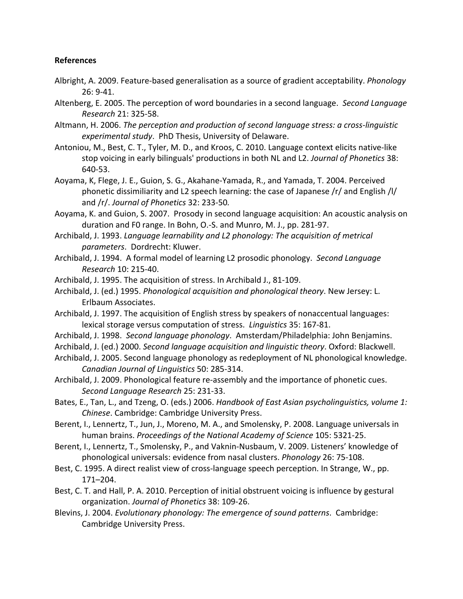## **References**

- Albright, A. 2009. Feature-based generalisation as a source of gradient acceptability. *Phonology* 26: 9\41.
- Altenberg, E. 2005. The perception of word boundaries in a second language. *Second Language Research+*21:\$325\58.
- Altmann, H. 2006. *The perception and production of second language stress: a cross-linguistic* experimental study. PhD Thesis, University of Delaware.
- Antoniou, M., Best, C. T., Tyler, M. D., and Kroos, C. 2010. Language context elicits native-like stop voicing in early bilinguals' productions in both NL and L2. *Journal of Phonetics* 38: 640-53.
- Aoyama, K, Flege, J. E., Guion, S. G., Akahane-Yamada, R., and Yamada, T. 2004. Perceived phonetic dissimiliarity and L2 speech learning: the case of Japanese /r/ and English /l/ and /r/. *Journal of Phonetics* 32: 233-50.
- Aoyama, K. and Guion, S. 2007. Prosody in second language acquisition: An acoustic analysis on duration and F0 range. In Bohn, O.-S. and Munro, M. J., pp. 281-97.
- Archibald, J. 1993. Language learnability and L2 phonology: The acquisition of metrical *parameters.* Dordrecht: Kluwer.
- Archibald, J. 1994. A formal model of learning L2 prosodic phonology. Second Language *Research+*10:\$215\40.
- Archibald, J. 1995. The acquisition of stress. In Archibald J., 81-109.
- Archibald, J. (ed.) 1995. *Phonological acquisition and phonological theory*. New Jersey: L. Erlbaum Associates.
- Archibald, J. 1997. The acquisition of English stress by speakers of nonaccentual languages: lexical storage versus computation of stress. Linguistics 35: 167-81.
- Archibald, J. 1998. Second language phonology. Amsterdam/Philadelphia: John Benjamins.
- Archibald, J. (ed.) 2000. Second language acquisition and linguistic theory. Oxford: Blackwell.
- Archibald, J. 2005. Second language phonology as redeployment of NL phonological knowledge. *Canadian+Journal+of+Linguistics+*50: 285\314.
- Archibald, J. 2009. Phonological feature re-assembly and the importance of phonetic cues. Second Language Research 25: 231-33.
- Bates, E., Tan, L., and Tzeng, O. (eds.) 2006. *Handbook of East Asian psycholinguistics, volume 1: Chinese. Cambridge: Cambridge University Press.*
- Berent, I., Lennertz, T., Jun, J., Moreno, M. A., and Smolensky, P. 2008. Language universals in human brains. Proceedings of the National Academy of Science 105: 5321-25.
- Berent, I., Lennertz, T., Smolensky, P., and Vaknin-Nusbaum, V. 2009. Listeners' knowledge of phonological universals: evidence from nasal clusters. *Phonology* 26: 75-108.
- Best, C. 1995. A direct realist view of cross-language speech perception. In Strange, W., pp. 171–204.
- Best, C. T. and Hall, P. A. 2010. Perception of initial obstruent voicing is influence by gestural organization. *Journal of Phonetics* 38: 109-26.
- Blevins, J. 2004. *Evolutionary phonology: The emergence of sound patterns*. Cambridge: Cambridge University Press.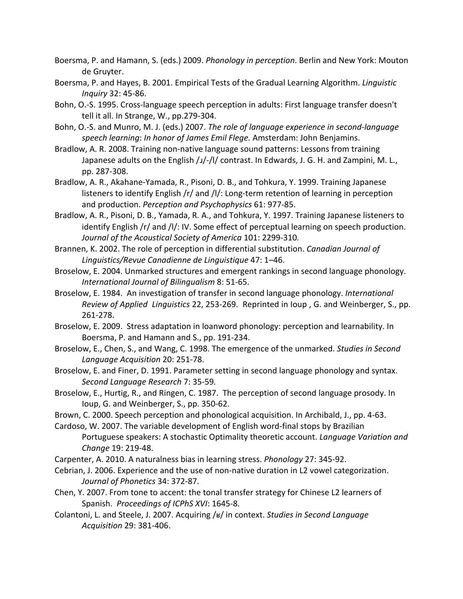- Boersma, P. and Hamann, S. (eds.) 2009. *Phonology in perception*. Berlin and New York: Mouton de Gruyter.
- Boersma, P. and Hayes, B. 2001. Empirical Tests of the Gradual Learning Algorithm. *Linguistic Inquiry* 32:\$45\86.
- Bohn, O.-S. 1995. Cross-language speech perception in adults: First language transfer doesn't tell it all. In Strange, W.,  $pp.279-304.$
- Bohn, O.-S. and Munro, M. J. (eds.) 2007. *The role of language experience in second-language* speech learning: In honor of James Emil Flege. Amsterdam: John Benjamins.
- Bradlow, A. R. 2008. Training non-native language sound patterns: Lessons from training Japanese adults on the English /ɹ/-/l/ contrast. In Edwards, J. G. H. and Zampini, M. L., pp. 287-308.
- Bradlow, A. R., Akahane-Yamada, R., Pisoni, D. B., and Tohkura, Y. 1999. Training Japanese listeners to identify English /r/ and /l/: Long-term retention of learning in perception and production. Perception and Psychophysics 61: 977-85.
- Bradlow, A. R., Pisoni, D. B., Yamada, R. A., and Tohkura, Y. 1997. Training Japanese listeners to identify English /r/ and /l/: IV. Some effect of perceptual learning on speech production. *Journal of the Acoustical Society of America* 101: 2299-310.
- Brannen, K. 2002. The role of perception in differential substitution. *Canadian Journal of Linguistics/Revue+Canadienne+de+Linguistique* 47:\$1–46.
- Broselow, E. 2004. Unmarked structures and emergent rankings in second language phonology. *International+Journal+of+Bilingualism+*8:\$51\65.
- Broselow, E. 1984. An investigation of transfer in second language phonology. *International Review of Applied Linguistics* 22, 253-269. Reprinted in Ioup, G. and Weinberger, S., pp. 261-278.
- Broselow, E. 2009. Stress adaptation in loanword phonology: perception and learnability. In Boersma, P. and Hamann and S., pp. 191-234.
- Broselow, E., Chen, S., and Wang, C. 1998. The emergence of the unmarked. *Studies in Second* Language Acquisition 20: 251-78.
- Broselow, E. and Finer, D. 1991. Parameter setting in second language phonology and syntax. *Second+Language+Research+*7:\$35\59*.+*
- Broselow, E., Hurtig, R., and Ringen, C. 1987. The perception of second language prosody. In Ioup, G. and Weinberger, S., pp. 350-62.
- Brown, C. 2000. Speech perception and phonological acquisition. In Archibald, J., pp. 4-63.
- Cardoso, W. 2007. The variable development of English word-final stops by Brazilian Portuguese speakers: A stochastic Optimality theoretic account. *Language Variation and Change* 19: 219-48.
- Carpenter, A. 2010. A naturalness bias in learning stress. *Phonology* 27: 345-92.
- Cebrian, J. 2006. Experience and the use of non-native duration in L2 vowel categorization. *Journal+of+Phonetics+*34:\$372\87.
- Chen, Y. 2007. From tone to accent: the tonal transfer strategy for Chinese L2 learners of Spanish. Proceedings of ICPhS XVI: 1645-8.
- Colantoni, L. and Steele, J. 2007. Acquiring /ʁ/ in context. *Studies in Second Language Acquisition+*29:\$381\406.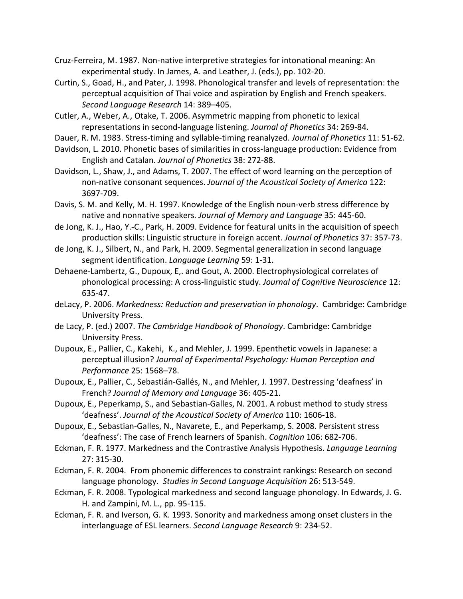- Cruz-Ferreira, M. 1987. Non-native interpretive strategies for intonational meaning: An experimental study. In James, A. and Leather, J. (eds.), pp. 102-20.
- Curtin, S., Goad, H., and Pater, J. 1998. Phonological transfer and levels of representation: the perceptual acquisition of Thai voice and aspiration by English and French speakers. Second Language Research 14: 389–405.
- Cutler, A., Weber, A., Otake, T. 2006. Asymmetric mapping from phonetic to lexical representations in second-language listening. *Journal of Phonetics* 34: 269-84.
- Dauer, R. M. 1983. Stress-timing and syllable-timing reanalyzed. *Journal of Phonetics* 11: 51-62.
- Davidson, L. 2010. Phonetic bases of similarities in cross-language production: Evidence from English and Catalan. *Journal of Phonetics* 38: 272-88.
- Davidson, L., Shaw, J., and Adams, T. 2007. The effect of word learning on the perception of non-native consonant sequences. Journal of the Acoustical Society of America 122: 3697-709.
- Davis, S. M. and Kelly, M. H. 1997. Knowledge of the English noun-verb stress difference by native and nonnative speakers. Journal of Memory and Language 35: 445-60.
- de Jong, K. J., Hao, Y.-C., Park, H. 2009. Evidence for featural units in the acquisition of speech production skills: Linguistic structure in foreign accent. *Journal of Phonetics* 37: 357-73.
- de Jong, K. J., Silbert, N., and Park, H. 2009. Segmental generalization in second language segment identification. *Language Learning* 59: 1-31.
- Dehaene-Lambertz, G., Dupoux, E., and Gout, A. 2000. Electrophysiological correlates of phonological processing: A cross-linguistic study. Journal of Cognitive Neuroscience 12: 635-47.
- deLacy, P. 2006. Markedness: Reduction and preservation in phonology. Cambridge: Cambridge University Press.
- de Lacy, P. (ed.) 2007. *The Cambridge Handbook of Phonology*. Cambridge: Cambridge University Press.
- Dupoux, E., Pallier, C., Kakehi, K., and Mehler, J. 1999. Epenthetic vowels in Japanese: a perceptual illusion? Journal of Experimental Psychology: Human Perception and *Performance+*25:\$1568–78.
- Dupoux, E., Pallier, C., Sebastián-Gallés, N., and Mehler, J. 1997. Destressing 'deafness' in French? Journal of Memory and Language 36: 405-21.
- Dupoux, E., Peperkamp, S., and Sebastian-Galles, N. 2001. A robust method to study stress 'deafness'. Journal of the Acoustical Society of America 110: 1606-18.
- Dupoux, E., Sebastian-Galles, N., Navarete, E., and Peperkamp, S. 2008. Persistent stress 'deafness': The case of French learners of Spanish. *Cognition* 106: 682-706.
- Eckman, F. R. 1977. Markedness and the Contrastive Analysis Hypothesis. *Language Learning* 27: 315-30.
- Eckman, F. R. 2004. From phonemic differences to constraint rankings: Research on second language phonology. Studies in Second Language Acquisition 26: 513-549.
- Eckman, F. R. 2008. Typological markedness and second language phonology. In Edwards, J. G. H. and Zampini, M. L., pp. 95-115.
- Eckman, F. R. and Iverson, G. K. 1993. Sonority and markedness among onset clusters in the interlanguage of ESL learners. Second Language Research 9: 234-52.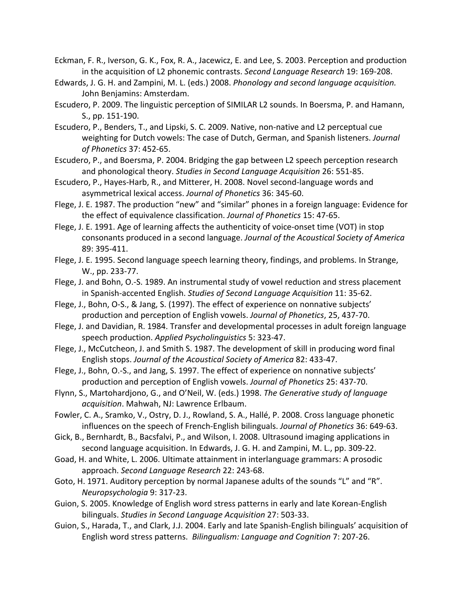- Eckman, F. R., Iverson, G. K., Fox, R. A., Jacewicz, E. and Lee, S. 2003. Perception and production in the acquisition of L2 phonemic contrasts. *Second Language Research* 19: 169-208.
- Edwards, J. G. H. and Zampini, M. L. (eds.) 2008. *Phonology and second language acquisition.* John Benjamins: Amsterdam.
- Escudero, P. 2009. The linguistic perception of SIMILAR L2 sounds. In Boersma, P. and Hamann, S., pp. 151-190.
- Escudero, P., Benders, T., and Lipski, S. C. 2009. Native, non-native and L2 perceptual cue weighting for Dutch vowels: The case of Dutch, German, and Spanish listeners. *Journal of+Phonetics+*37:\$452\65.
- Escudero, P., and Boersma, P. 2004. Bridging the gap between L2 speech perception research and phonological theory. Studies in Second Language Acquisition 26: 551-85.
- Escudero, P., Hayes-Harb, R., and Mitterer, H. 2008. Novel second-language words and asymmetrical lexical access. *Journal of Phonetics* 36: 345-60.
- Flege, J. E. 1987. The production "new" and "similar" phones in a foreign language: Evidence for the effect of equivalence classification. *Journal of Phonetics* 15: 47-65.
- Flege, J. E. 1991. Age of learning affects the authenticity of voice-onset time (VOT) in stop consonants produced in a second language. *Journal of the Acoustical Society of America* 89: 395-411.
- Flege, J. E. 1995. Second language speech learning theory, findings, and problems. In Strange, W., pp. 233-77.
- Flege, J. and Bohn, O.-S. 1989. An instrumental study of vowel reduction and stress placement in Spanish-accented English. Studies of Second Language Acquisition 11: 35-62.
- Flege, J., Bohn, O-S., & Jang, S. (1997). The effect of experience on nonnative subjects' production and perception of English vowels. *Journal of Phonetics*, 25, 437-70.
- Flege, J. and Davidian, R. 1984. Transfer and developmental processes in adult foreign language speech production. Applied Psycholinguistics 5: 323-47.
- Flege, J., McCutcheon, J. and Smith S. 1987. The development of skill in producing word final English stops. Journal of the Acoustical Society of America 82: 433-47.
- Flege, J., Bohn, O.-S., and Jang, S. 1997. The effect of experience on nonnative subjects' production and perception of English vowels. *Journal of Phonetics* 25: 437-70.
- Flynn, S., Martohardjono, G., and O'Neil, W. (eds.) 1998. *The Generative study of language* acquisition. Mahwah, NJ: Lawrence Erlbaum.
- Fowler, C. A., Sramko, V., Ostry, D. J., Rowland, S. A., Hallé, P. 2008. Cross language phonetic influences on the speech of French-English bilinguals. *Journal of Phonetics* 36: 649-63.
- Gick, B., Bernhardt, B., Bacsfalvi, P., and Wilson, I. 2008. Ultrasound imaging applications in second language acquisition. In Edwards, J. G. H. and Zampini, M. L., pp. 309-22.
- Goad, H. and White, L. 2006. Ultimate attainment in interlanguage grammars: A prosodic approach. Second Language Research 22: 243-68.
- Goto, H. 1971. Auditory perception by normal Japanese adults of the sounds "L" and "R". *Neuropsychologia+*9:\$317\23.
- Guion, S. 2005. Knowledge of English word stress patterns in early and late Korean-English bilinguals. *Studies in Second Language Acquisition* 27: 503-33.
- Guion, S., Harada, T., and Clark, J.J. 2004. Early and late Spanish-English bilinguals' acquisition of English word stress patterns. Bilingualism: Language and Cognition 7: 207-26.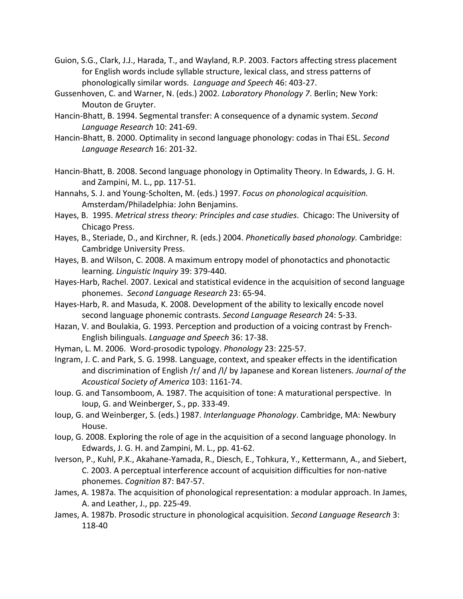- Guion, S.G., Clark, J.J., Harada, T., and Wayland, R.P. 2003. Factors affecting stress placement for English words include syllable structure, lexical class, and stress patterns of phonologically similar words. Language and Speech 46: 403-27.
- Gussenhoven, C. and Warner, N. (eds.) 2002. *Laboratory Phonology 7*. Berlin; New York: Mouton de Gruyter.
- Hancin-Bhatt, B. 1994. Segmental transfer: A consequence of a dynamic system. *Second Language Research* 10: 241-69.
- Hancin-Bhatt, B. 2000. Optimality in second language phonology: codas in Thai ESL. Second Language Research 16: 201-32.
- Hancin-Bhatt, B. 2008. Second language phonology in Optimality Theory. In Edwards, J. G. H. and Zampini, M. L., pp. 117-51.
- Hannahs, S. J. and Young-Scholten, M. (eds.) 1997. *Focus on phonological acquisition.* Amsterdam/Philadelphia: John Benjamins.
- Hayes, B. 1995. Metrical stress theory: Principles and case studies. Chicago: The University of Chicago Press.
- Hayes, B., Steriade, D., and Kirchner, R. (eds.) 2004. *Phonetically based phonology.* Cambridge: Cambridge University Press.
- Hayes, B. and Wilson, C. 2008. A maximum entropy model of phonotactics and phonotactic learning. *Linguistic Inquiry* 39: 379-440.
- Hayes-Harb, Rachel. 2007. Lexical and statistical evidence in the acquisition of second language phonemes. Second Language Research 23: 65-94.
- Hayes-Harb, R. and Masuda, K. 2008. Development of the ability to lexically encode novel second language phonemic contrasts. Second Language Research 24: 5-33.
- Hazan, V. and Boulakia, G. 1993. Perception and production of a voicing contrast by French-English bilinguals. *Language and Speech* 36: 17-38.
- Hyman, L. M. 2006. Word-prosodic typology. *Phonology* 23: 225-57.
- Ingram, J. C. and Park, S. G. 1998. Language, context, and speaker effects in the identification and discrimination of English /r/ and /l/ by Japanese and Korean listeners. *Journal of the* Acoustical Society of America 103: 1161-74.
- Ioup. G. and Tansomboom, A. 1987. The acquisition of tone: A maturational perspective. In Ioup, G. and Weinberger, S., pp. 333-49.
- Ioup, G. and Weinberger, S. (eds.) 1987. *Interlanguage Phonology*. Cambridge, MA: Newbury House.
- Ioup, G. 2008. Exploring the role of age in the acquisition of a second language phonology. In Edwards, J. G. H. and Zampini, M. L., pp. 41-62.
- Iverson, P., Kuhl, P.K., Akahane-Yamada, R., Diesch, E., Tohkura, Y., Kettermann, A., and Siebert, C. 2003. A perceptual interference account of acquisition difficulties for non-native phonemes. *Cognition* 87: B47-57.
- James, A. 1987a. The acquisition of phonological representation: a modular approach. In James, A. and Leather, J., pp. 225-49.
- James, A. 1987b. Prosodic structure in phonological acquisition. *Second Language Research* 3: 118-40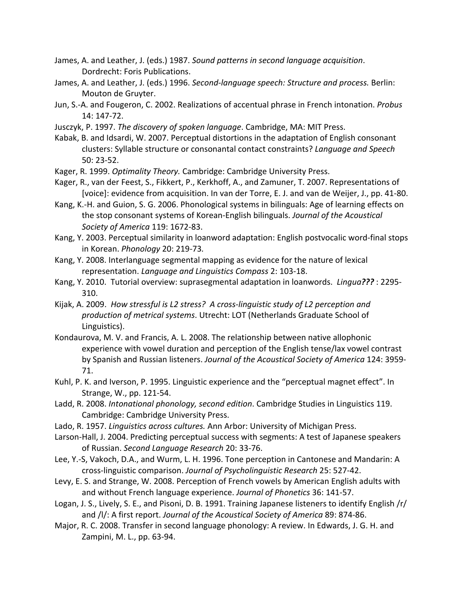- James, A. and Leather, J. (eds.) 1987. Sound patterns in second language acquisition. Dordrecht: Foris Publications.
- James, A. and Leather, J. (eds.) 1996. Second-language speech: Structure and process. Berlin: Mouton de Gruyter.
- Jun, S.-A. and Fougeron, C. 2002. Realizations of accentual phrase in French intonation. Probus 14: 147-72.
- Jusczyk, P. 1997. The discovery of spoken language. Cambridge, MA: MIT Press.
- Kabak, B. and Idsardi, W. 2007. Perceptual distortions in the adaptation of English consonant clusters: Syllable structure or consonantal contact constraints? Language and Speech  $50:23-52.$
- Kager, R. 1999. Optimality Theory. Cambridge: Cambridge University Press.
- Kager, R., van der Feest, S., Fikkert, P., Kerkhoff, A., and Zamuner, T. 2007. Representations of [voice]: evidence from acquisition. In van der Torre, E. J. and van de Weijer, J., pp. 41-80.
- Kang, K.-H. and Guion, S. G. 2006. Phonological systems in bilinguals: Age of learning effects on the stop consonant systems of Korean-English bilinguals. Journal of the Acoustical Society of America 119: 1672-83.
- Kang, Y. 2003. Perceptual similarity in loanword adaptation: English postvocalic word-final stops in Korean. Phonology 20: 219-73.
- Kang, Y. 2008. Interlanguage segmental mapping as evidence for the nature of lexical representation. Language and Linguistics Compass 2: 103-18.
- Kang, Y. 2010. Tutorial overview: suprasegmental adaptation in loanwords. Lingua???: 2295-310.
- Kijak, A. 2009. How stressful is L2 stress? A cross-linguistic study of L2 perception and production of metrical systems. Utrecht: LOT (Netherlands Graduate School of Linguistics).
- Kondaurova, M. V. and Francis, A. L. 2008. The relationship between native allophonic experience with vowel duration and perception of the English tense/lax vowel contrast by Spanish and Russian listeners. Journal of the Acoustical Society of America 124: 3959-71.
- Kuhl, P. K. and Iverson, P. 1995. Linguistic experience and the "perceptual magnet effect". In Strange, W., pp. 121-54.
- Ladd, R. 2008. Intonational phonology, second edition. Cambridge Studies in Linguistics 119. Cambridge: Cambridge University Press.
- Lado, R. 1957. Linguistics across cultures. Ann Arbor: University of Michigan Press.
- Larson-Hall, J. 2004. Predicting perceptual success with segments: A test of Japanese speakers of Russian. Second Language Research 20: 33-76.
- Lee, Y.-S, Vakoch, D.A., and Wurm, L. H. 1996. Tone perception in Cantonese and Mandarin: A cross-linguistic comparison. Journal of Psycholinguistic Research 25: 527-42.
- Levy, E. S. and Strange, W. 2008. Perception of French vowels by American English adults with and without French language experience. Journal of Phonetics 36: 141-57.
- Logan, J. S., Lively, S. E., and Pisoni, D. B. 1991. Training Japanese listeners to identify English /r/ and /I/: A first report. Journal of the Acoustical Society of America 89: 874-86.
- Major, R. C. 2008. Transfer in second language phonology: A review. In Edwards, J. G. H. and Zampini, M. L., pp. 63-94.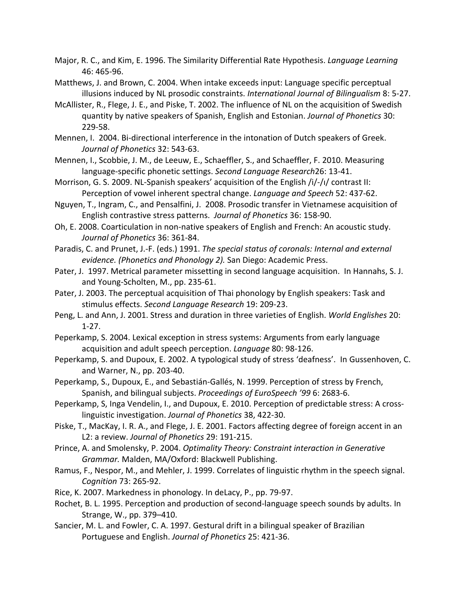- Major, R. C., and Kim, E. 1996. The Similarity Differential Rate Hypothesis. Language Learning 46: 465-96.
- Matthews, J. and Brown, C. 2004. When intake exceeds input: Language specific perceptual illusions induced by NL prosodic constraints. International Journal of Bilingualism 8: 5-27.
- McAllister, R., Flege, J. E., and Piske, T. 2002. The influence of NL on the acquisition of Swedish quantity by native speakers of Spanish, English and Estonian. Journal of Phonetics 30: 229-58.
- Mennen, I. 2004. Bi-directional interference in the intonation of Dutch speakers of Greek. Journal of Phonetics 32: 543-63.
- Mennen, I., Scobbie, J. M., de Leeuw, E., Schaeffler, S., and Schaeffler, F. 2010. Measuring language-specific phonetic settings. Second Language Research26: 13-41.
- Morrison, G. S. 2009. NL-Spanish speakers' acquisition of the English /i/-/i/ contrast II: Perception of vowel inherent spectral change. Language and Speech 52: 437-62.
- Nguyen, T., Ingram, C., and Pensalfini, J. 2008. Prosodic transfer in Vietnamese acquisition of English contrastive stress patterns. Journal of Phonetics 36: 158-90.
- Oh, E. 2008. Coarticulation in non-native speakers of English and French: An acoustic study. Journal of Phonetics 36: 361-84.
- Paradis, C. and Prunet, J.-F. (eds.) 1991. The special status of coronals: Internal and external evidence. (Phonetics and Phonology 2). San Diego: Academic Press.
- Pater, J. 1997. Metrical parameter missetting in second language acquisition. In Hannahs, S. J. and Young-Scholten, M., pp. 235-61.
- Pater, J. 2003. The perceptual acquisition of Thai phonology by English speakers: Task and stimulus effects. Second Language Research 19: 209-23.
- Peng, L. and Ann, J. 2001. Stress and duration in three varieties of English. World Englishes 20:  $1-27.$
- Peperkamp, S. 2004. Lexical exception in stress systems: Arguments from early language acquisition and adult speech perception. Language 80: 98-126.
- Peperkamp, S. and Dupoux, E. 2002. A typological study of stress 'deafness'. In Gussenhoven, C. and Warner, N., pp. 203-40.
- Peperkamp, S., Dupoux, E., and Sebastián-Gallés, N. 1999. Perception of stress by French, Spanish, and bilingual subjects. Proceedings of EuroSpeech '99 6: 2683-6.
- Peperkamp, S, Inga Vendelin, I., and Dupoux, E. 2010. Perception of predictable stress: A crosslinguistic investigation. Journal of Phonetics 38, 422-30.
- Piske, T., MacKay, I. R. A., and Flege, J. E. 2001. Factors affecting degree of foreign accent in an L2: a review. Journal of Phonetics 29: 191-215.
- Prince, A. and Smolensky, P. 2004. Optimality Theory: Constraint interaction in Generative Grammar. Malden, MA/Oxford: Blackwell Publishing.
- Ramus, F., Nespor, M., and Mehler, J. 1999. Correlates of linguistic rhythm in the speech signal. Cognition 73: 265-92.
- Rice, K. 2007. Markedness in phonology. In deLacy, P., pp. 79-97.
- Rochet, B. L. 1995. Perception and production of second-language speech sounds by adults. In Strange, W., pp. 379-410.
- Sancier, M. L. and Fowler, C. A. 1997. Gestural drift in a bilingual speaker of Brazilian Portuguese and English. Journal of Phonetics 25: 421-36.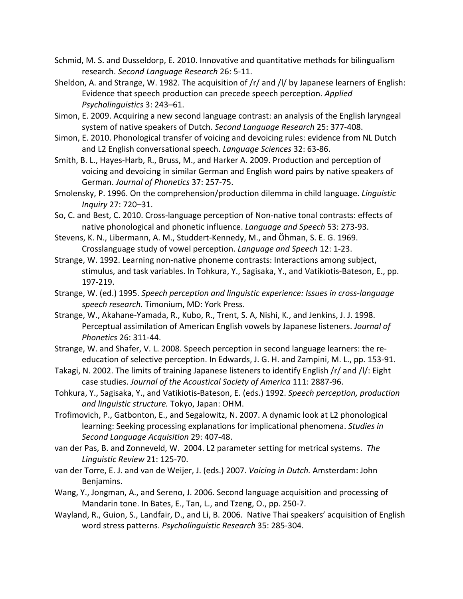- Schmid, M. S. and Dusseldorp, E. 2010. Innovative and quantitative methods for bilingualism research. Second Language Research 26: 5-11.
- Sheldon, A. and Strange, W. 1982. The acquisition of  $/r/$  and  $/l/$  by Japanese learners of English: Evidence that speech production can precede speech perception. *Applied Psycholinguistics+*3: 243–61.
- Simon, E. 2009. Acquiring a new second language contrast: an analysis of the English laryngeal system of native speakers of Dutch. Second Language Research 25: 377-408.
- Simon, E. 2010. Phonological transfer of voicing and devoicing rules: evidence from NL Dutch and L2 English conversational speech. *Language Sciences* 32: 63-86.
- Smith, B. L., Hayes-Harb, R., Bruss, M., and Harker A. 2009. Production and perception of voicing and devoicing in similar German and English word pairs by native speakers of German. Journal of Phonetics 37: 257-75.
- Smolensky, P. 1996. On the comprehension/production dilemma in child language. *Linguistic Inquiry* 27:\$720–31.
- So, C. and Best, C. 2010. Cross-language perception of Non-native tonal contrasts: effects of native phonological and phonetic influence. *Language and Speech* 53: 273-93.
- Stevens, K. N., Libermann, A. M., Studdert-Kennedy, M., and Öhman, S. E. G. 1969. Crosslanguage study of vowel perception. *Language and Speech* 12: 1-23.
- Strange, W. 1992. Learning non-native phoneme contrasts: Interactions among subject, stimulus, and task variables. In Tohkura, Y., Sagisaka, Y., and Vatikiotis-Bateson, E., pp. 197\219.
- Strange, W. (ed.) 1995. Speech perception and linguistic experience: Issues in cross-language speech research. Timonium, MD: York Press.
- Strange, W., Akahane-Yamada, R., Kubo, R., Trent, S. A, Nishi, K., and Jenkins, J. J. 1998. Perceptual assimilation of American English vowels by Japanese listeners. *Journal of Phonetics* 26: 311-44.
- Strange, W. and Shafer, V. L. 2008. Speech perception in second language learners: the reeducation of selective perception. In Edwards, J. G. H. and Zampini, M. L., pp. 153-91.
- Takagi, N. 2002. The limits of training Japanese listeners to identify English /r/ and /l/: Eight case studies. Journal of the Acoustical Society of America 111: 2887-96.
- Tohkura, Y., Sagisaka, Y., and Vatikiotis-Bateson, E. (eds.) 1992. Speech perception, production *and linguistic structure.* Tokyo, Japan: OHM.
- Trofimovich, P., Gatbonton, E., and Segalowitz, N. 2007. A dynamic look at L2 phonological learning: Seeking processing explanations for implicational phenomena. Studies in *Second+Language+Acquisition* 29: 407\48.
- van der Pas, B. and Zonneveld, W. 2004. L2 parameter setting for metrical systems. The *Linguistic+Review+*21:\$125\70.
- van der Torre, E. J. and van de Weijer, J. (eds.) 2007. *Voicing in Dutch.* Amsterdam: John Benjamins.
- Wang, Y., Jongman, A., and Sereno, J. 2006. Second language acquisition and processing of Mandarin tone. In Bates, E., Tan, L., and Tzeng, O., pp. 250-7.
- Wayland, R., Guion, S., Landfair, D., and Li, B. 2006. Native Thai speakers' acquisition of English word stress patterns. Psycholinguistic Research 35: 285-304.